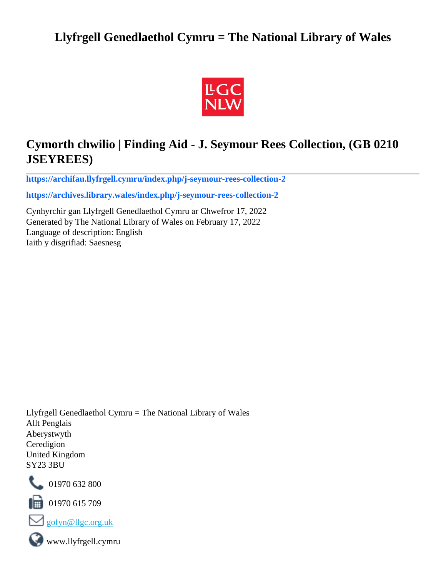## **Llyfrgell Genedlaethol Cymru = The National Library of Wales**



## **Cymorth chwilio | Finding Aid - J. Seymour Rees Collection, (GB 0210 JSEYREES)**

**[https://archifau.llyfrgell.cymru/index.php/j-seymour-rees-collection-2](https://archifau.llyfrgell.cymru/index.php/j-seymour-rees-collection-2;isad?sf_culture=cy)**

**[https://archives.library.wales/index.php/j-seymour-rees-collection-2](https://archives.library.wales/index.php/j-seymour-rees-collection-2;isad?sf_culture=en)**

Cynhyrchir gan Llyfrgell Genedlaethol Cymru ar Chwefror 17, 2022 Generated by The National Library of Wales on February 17, 2022 Language of description: English Iaith y disgrifiad: Saesnesg

Llyfrgell Genedlaethol Cymru = The National Library of Wales Allt Penglais Aberystwyth Ceredigion United Kingdom SY23 3BU



101970 632 800

 $\blacksquare$  01970 615 709



www.llyfrgell.cymru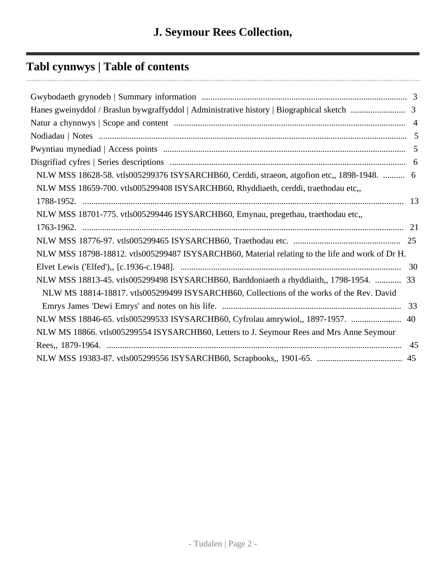# **Tabl cynnwys | Table of contents**

|                                                                                                 | 5  |
|-------------------------------------------------------------------------------------------------|----|
|                                                                                                 |    |
| NLW MSS 18628-58. vtls005299376 ISYSARCHB60, Cerddi, straeon, atgofion etc., 1898-1948.  6      |    |
| NLW MSS 18659-700. vtls005299408 ISYSARCHB60, Rhyddiaeth, cerddi, traethodau etc,,              |    |
| 1788-1952.                                                                                      |    |
| NLW MSS 18701-775. vtls005299446 ISYSARCHB60, Emynau, pregethau, traethodau etc,,               |    |
|                                                                                                 |    |
|                                                                                                 |    |
| NLW MSS 18798-18812. vtls005299487 ISYSARCHB60, Material relating to the life and work of Dr H. |    |
|                                                                                                 |    |
| NLW MSS 18813-45. vtls005299498 ISYSARCHB60, Barddoniaeth a rhyddiaith,, 1798-1954.  33         |    |
| NLW MS 18814-18817. vtls005299499 ISYSARCHB60, Collections of the works of the Rev. David       |    |
|                                                                                                 | 33 |
| NLW MSS 18846-65. vtls005299533 ISYSARCHB60, Cyfrolau amrywiol,, 1897-1957.                     | 40 |
| NLW MS 18866. vtls005299554 ISYSARCHB60, Letters to J. Seymour Rees and Mrs Anne Seymour        |    |
|                                                                                                 |    |
|                                                                                                 |    |
|                                                                                                 |    |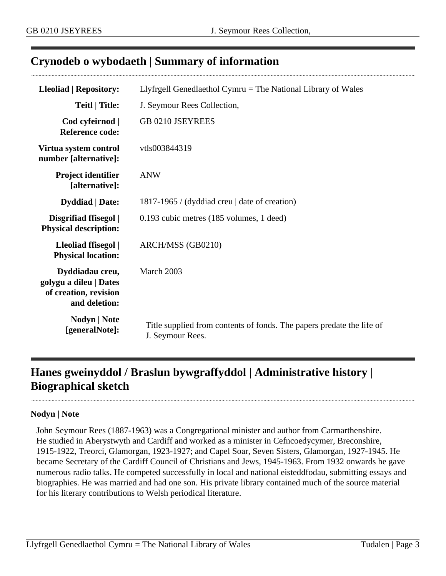## <span id="page-2-0"></span>**Crynodeb o wybodaeth | Summary of information**

| <b>Lleoliad   Repository:</b>                                                       | Llyfrgell Genedlaethol Cymru $=$ The National Library of Wales                            |  |
|-------------------------------------------------------------------------------------|-------------------------------------------------------------------------------------------|--|
| <b>Teitl</b>   Title:                                                               | J. Seymour Rees Collection,                                                               |  |
| Cod cyfeirnod  <br><b>Reference code:</b>                                           | <b>GB 0210 JSEYREES</b>                                                                   |  |
| Virtua system control<br>number [alternative]:                                      | vtls003844319                                                                             |  |
| Project identifier<br>[alternative]:                                                | <b>ANW</b>                                                                                |  |
| <b>Dyddiad</b>   Date:                                                              | 1817-1965 / (dyddiad creu   date of creation)                                             |  |
| Disgrifiad ffisegol  <br><b>Physical description:</b>                               | 0.193 cubic metres (185 volumes, 1 deed)                                                  |  |
| Lleoliad ffisegol  <br><b>Physical location:</b>                                    | ARCH/MSS (GB0210)                                                                         |  |
| Dyddiadau creu,<br>golygu a dileu   Dates<br>of creation, revision<br>and deletion: | March 2003                                                                                |  |
| Nodyn   Note<br>[generalNote]:                                                      | Title supplied from contents of fonds. The papers predate the life of<br>J. Seymour Rees. |  |

## <span id="page-2-1"></span>**Hanes gweinyddol / Braslun bywgraffyddol | Administrative history | Biographical sketch**

#### **Nodyn | Note**

John Seymour Rees (1887-1963) was a Congregational minister and author from Carmarthenshire. He studied in Aberystwyth and Cardiff and worked as a minister in Cefncoedycymer, Breconshire, 1915-1922, Treorci, Glamorgan, 1923-1927; and Capel Soar, Seven Sisters, Glamorgan, 1927-1945. He became Secretary of the Cardiff Council of Christians and Jews, 1945-1963. From 1932 onwards he gave numerous radio talks. He competed successfully in local and national eisteddfodau, submitting essays and biographies. He was married and had one son. His private library contained much of the source material for his literary contributions to Welsh periodical literature.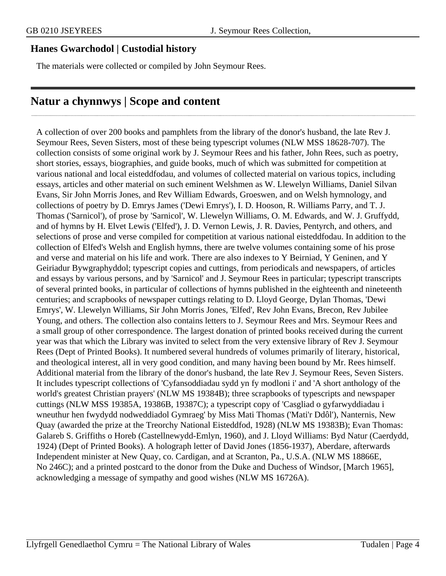#### **Hanes Gwarchodol | Custodial history**

The materials were collected or compiled by John Seymour Rees.

## <span id="page-3-0"></span>**Natur a chynnwys | Scope and content**

A collection of over 200 books and pamphlets from the library of the donor's husband, the late Rev J. Seymour Rees, Seven Sisters, most of these being typescript volumes (NLW MSS 18628-707). The collection consists of some original work by J. Seymour Rees and his father, John Rees, such as poetry, short stories, essays, biographies, and guide books, much of which was submitted for competition at various national and local eisteddfodau, and volumes of collected material on various topics, including essays, articles and other material on such eminent Welshmen as W. Llewelyn Williams, Daniel Silvan Evans, Sir John Morris Jones, and Rev William Edwards, Groeswen, and on Welsh hymnology, and collections of poetry by D. Emrys James ('Dewi Emrys'), I. D. Hooson, R. Williams Parry, and T. J. Thomas ('Sarnicol'), of prose by 'Sarnicol', W. Llewelyn Williams, O. M. Edwards, and W. J. Gruffydd, and of hymns by H. Elvet Lewis ('Elfed'), J. D. Vernon Lewis, J. R. Davies, Pentyrch, and others, and selections of prose and verse compiled for competition at various national eisteddfodau. In addition to the collection of Elfed's Welsh and English hymns, there are twelve volumes containing some of his prose and verse and material on his life and work. There are also indexes to Y Beirniad, Y Geninen, and Y Geiriadur Bywgraphyddol; typescript copies and cuttings, from periodicals and newspapers, of articles and essays by various persons, and by 'Sarnicol' and J. Seymour Rees in particular; typescript transcripts of several printed books, in particular of collections of hymns published in the eighteenth and nineteenth centuries; and scrapbooks of newspaper cuttings relating to D. Lloyd George, Dylan Thomas, 'Dewi Emrys', W. Llewelyn Williams, Sir John Morris Jones, 'Elfed', Rev John Evans, Brecon, Rev Jubilee Young, and others. The collection also contains letters to J. Seymour Rees and Mrs. Seymour Rees and a small group of other correspondence. The largest donation of printed books received during the current year was that which the Library was invited to select from the very extensive library of Rev J. Seymour Rees (Dept of Printed Books). It numbered several hundreds of volumes primarily of literary, historical, and theological interest, all in very good condition, and many having been bound by Mr. Rees himself. Additional material from the library of the donor's husband, the late Rev J. Seymour Rees, Seven Sisters. It includes typescript collections of 'Cyfansoddiadau sydd yn fy modloni i' and 'A short anthology of the world's greatest Christian prayers' (NLW MS 19384B); three scrapbooks of typescripts and newspaper cuttings (NLW MSS 19385A, 19386B, 19387C); a typescript copy of 'Casgliad o gyfarwyddiadau i wneuthur hen fwydydd nodweddiadol Gymraeg' by Miss Mati Thomas ('Mati'r Ddôl'), Nanternis, New Quay (awarded the prize at the Treorchy National Eisteddfod, 1928) (NLW MS 19383B); Evan Thomas: Galareb S. Griffiths o Horeb (Castellnewydd-Emlyn, 1960), and J. Lloyd Williams: Byd Natur (Caerdydd, 1924) (Dept of Printed Books). A holograph letter of David Jones (1856-1937), Aberdare, afterwards Independent minister at New Quay, co. Cardigan, and at Scranton, Pa., U.S.A. (NLW MS 18866E, No 246C); and a printed postcard to the donor from the Duke and Duchess of Windsor, [March 1965], acknowledging a message of sympathy and good wishes (NLW MS 16726A).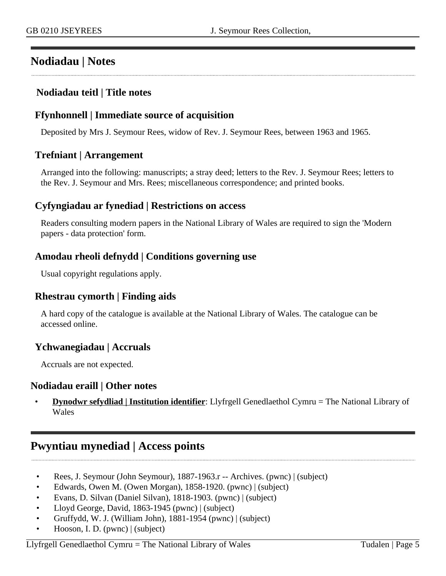## <span id="page-4-0"></span>**Nodiadau | Notes**

#### **Nodiadau teitl | Title notes**

#### **Ffynhonnell | Immediate source of acquisition**

Deposited by Mrs J. Seymour Rees, widow of Rev. J. Seymour Rees, between 1963 and 1965.

#### **Trefniant | Arrangement**

Arranged into the following: manuscripts; a stray deed; letters to the Rev. J. Seymour Rees; letters to the Rev. J. Seymour and Mrs. Rees; miscellaneous correspondence; and printed books.

#### **Cyfyngiadau ar fynediad | Restrictions on access**

Readers consulting modern papers in the National Library of Wales are required to sign the 'Modern papers - data protection' form.

#### **Amodau rheoli defnydd | Conditions governing use**

Usual copyright regulations apply.

#### **Rhestrau cymorth | Finding aids**

A hard copy of the catalogue is available at the National Library of Wales. The catalogue can be accessed online.

#### **Ychwanegiadau | Accruals**

Accruals are not expected.

#### **Nodiadau eraill | Other notes**

• **Dynodwr sefydliad | Institution identifier**: Llyfrgell Genedlaethol Cymru = The National Library of Wales

### <span id="page-4-1"></span>**Pwyntiau mynediad | Access points**

- Rees, J. Seymour (John Seymour), 1887-1963.r -- Archives. (pwnc) | (subject)
- Edwards, Owen M. (Owen Morgan), 1858-1920. (pwnc) | (subject)
- Evans, D. Silvan (Daniel Silvan), 1818-1903. (pwnc) | (subject)
- Lloyd George, David, 1863-1945 (pwnc) | (subject)
- Gruffydd, W. J. (William John), 1881-1954 (pwnc) | (subject)
- Hooson, I. D. (pwnc) | (subject)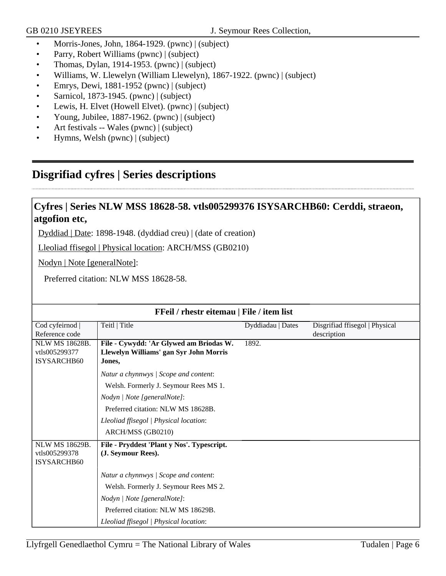- Morris-Jones, John, 1864-1929. (pwnc) | (subject)
- Parry, Robert Williams (pwnc) | (subject)
- Thomas, Dylan, 1914-1953. (pwnc) | (subject)
- Williams, W. Llewelyn (William Llewelyn), 1867-1922. (pwnc) | (subject)
- Emrys, Dewi, 1881-1952 (pwnc) | (subject)
- Sarnicol, 1873-1945. (pwnc) | (subject)
- Lewis, H. Elvet (Howell Elvet). (pwnc) | (subject)
- Young, Jubilee, 1887-1962. (pwnc) | (subject)
- Art festivals -- Wales (pwnc) | (subject)
- Hymns, Welsh (pwnc) | (subject)

## <span id="page-5-0"></span>**Disgrifiad cyfres | Series descriptions**

### <span id="page-5-1"></span>**Cyfres | Series NLW MSS 18628-58. vtls005299376 ISYSARCHB60: Cerddi, straeon, atgofion etc,**

Dyddiad | Date: 1898-1948. (dyddiad creu) | (date of creation)

Lleoliad ffisegol | Physical location: ARCH/MSS (GB0210)

Nodyn | Note [generalNote]:

Preferred citation: NLW MSS 18628-58.

| FFeil / rhestr eitemau   File / item list      |                                                                                                                                                                                                                                                                   |                   |                                               |
|------------------------------------------------|-------------------------------------------------------------------------------------------------------------------------------------------------------------------------------------------------------------------------------------------------------------------|-------------------|-----------------------------------------------|
| Cod cyfeirnod  <br>Reference code              | Teitl   Title                                                                                                                                                                                                                                                     | Dyddiadau   Dates | Disgrifiad ffisegol   Physical<br>description |
| NLW MS 18628B.<br>vtls005299377<br>ISYSARCHB60 | File - Cywydd: 'Ar Glywed am Briodas W.<br>Llewelyn Williams' gan Syr John Morris<br>Jones.                                                                                                                                                                       | 1892.             |                                               |
|                                                | Natur a chynnwys / Scope and content:<br>Welsh. Formerly J. Seymour Rees MS 1.<br>Nodyn   Note [generalNote]:<br>Preferred citation: NLW MS 18628B.<br>Lleoliad ffisegol   Physical location:<br>ARCH/MSS (GB0210)                                                |                   |                                               |
| NLW MS 18629B.<br>vtls005299378<br>ISYSARCHB60 | File - Pryddest 'Plant y Nos'. Typescript.<br>(J. Seymour Rees).<br>Natur a chynnwys / Scope and content:<br>Welsh. Formerly J. Seymour Rees MS 2.<br>Nodyn   Note [generalNote]:<br>Preferred citation: NLW MS 18629B.<br>Lleoliad ffisegol   Physical location: |                   |                                               |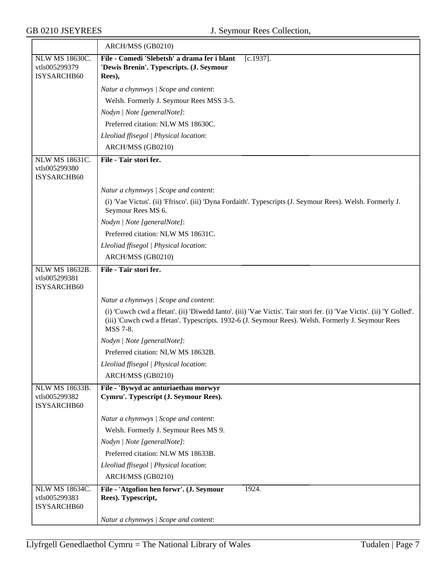|                                                       | ARCH/MSS (GB0210)                                                                                                                                                                                                                       |
|-------------------------------------------------------|-----------------------------------------------------------------------------------------------------------------------------------------------------------------------------------------------------------------------------------------|
| <b>NLW MS 18630C.</b><br>vtls005299379                | File - Comedi 'Slebetsh' a drama fer i blant<br>$[c.1937]$ .<br>'Dewis Brenin'. Typescripts. (J. Seymour                                                                                                                                |
| ISYSARCHB60                                           | Rees),                                                                                                                                                                                                                                  |
|                                                       | Natur a chynnwys / Scope and content:                                                                                                                                                                                                   |
|                                                       | Welsh. Formerly J. Seymour Rees MSS 3-5.                                                                                                                                                                                                |
|                                                       | Nodyn   Note [generalNote]:                                                                                                                                                                                                             |
|                                                       | Preferred citation: NLW MS 18630C.                                                                                                                                                                                                      |
|                                                       | Lleoliad ffisegol   Physical location:                                                                                                                                                                                                  |
|                                                       | ARCH/MSS (GB0210)                                                                                                                                                                                                                       |
| NLW MS 18631C.<br>vtls005299380<br>ISYSARCHB60        | File - Tair stori fer.                                                                                                                                                                                                                  |
|                                                       | Natur a chynnwys / Scope and content:                                                                                                                                                                                                   |
|                                                       | (i) 'Vae Victus'. (ii) 'Ffrisco'. (iii) 'Dyna Fordaith'. Typescripts (J. Seymour Rees). Welsh. Formerly J.<br>Seymour Rees MS 6.                                                                                                        |
|                                                       | Nodyn   Note [generalNote]:                                                                                                                                                                                                             |
|                                                       | Preferred citation: NLW MS 18631C.                                                                                                                                                                                                      |
|                                                       | Lleoliad ffisegol   Physical location:                                                                                                                                                                                                  |
|                                                       | ARCH/MSS (GB0210)                                                                                                                                                                                                                       |
| <b>NLW MS 18632B.</b><br>vtls005299381<br>ISYSARCHB60 | File - Tair stori fer.                                                                                                                                                                                                                  |
|                                                       | Natur a chynnwys / Scope and content:                                                                                                                                                                                                   |
|                                                       | (i) 'Cuwch cwd a ffetan'. (ii) 'Diwedd Ianto'. (iii) 'Vae Victis'. Tair stori fer. (i) 'Vae Victis'. (ii) 'Y Golled'.<br>(iii) 'Cuwch cwd a ffetan'. Typescripts. 1932-6 (J. Seymour Rees). Welsh. Formerly J. Seymour Rees<br>MSS 7-8. |
|                                                       | Nodyn   Note [generalNote]:                                                                                                                                                                                                             |
|                                                       | Preferred citation: NLW MS 18632B.                                                                                                                                                                                                      |
|                                                       | Lleoliad ffisegol   Physical location:                                                                                                                                                                                                  |
|                                                       | ARCH/MSS (GB0210)                                                                                                                                                                                                                       |
| <b>NLW MS 18633B.</b><br>vtls005299382<br>ISYSARCHB60 | File - 'Bywyd ac anturiaethau morwyr<br>Cymru'. Typescript (J. Seymour Rees).                                                                                                                                                           |
|                                                       | Natur a chynnwys / Scope and content:                                                                                                                                                                                                   |
|                                                       | Welsh. Formerly J. Seymour Rees MS 9.                                                                                                                                                                                                   |
|                                                       | Nodyn   Note [generalNote]:                                                                                                                                                                                                             |
|                                                       | Preferred citation: NLW MS 18633B.                                                                                                                                                                                                      |
|                                                       | Lleoliad ffisegol   Physical location:                                                                                                                                                                                                  |
|                                                       | ARCH/MSS (GB0210)                                                                                                                                                                                                                       |
| NLW MS 18634C.<br>vtls005299383<br>ISYSARCHB60        | File - 'Atgofion hen forwr'. (J. Seymour<br>1924.<br>Rees). Typescript,                                                                                                                                                                 |
|                                                       | Natur a chynnwys / Scope and content:                                                                                                                                                                                                   |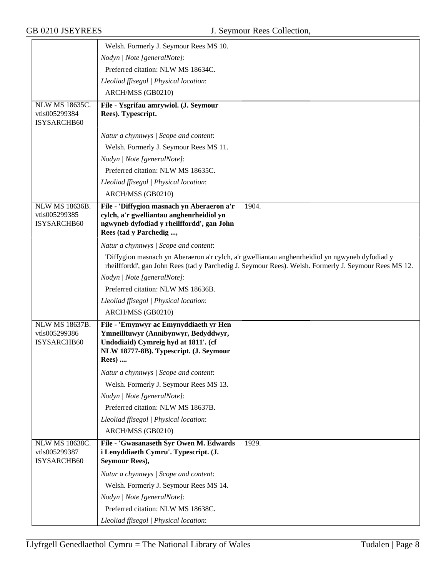|                                        | Welsh. Formerly J. Seymour Rees MS 10.                                                                                                                                                                   |
|----------------------------------------|----------------------------------------------------------------------------------------------------------------------------------------------------------------------------------------------------------|
|                                        | Nodyn   Note [generalNote]:                                                                                                                                                                              |
|                                        | Preferred citation: NLW MS 18634C.                                                                                                                                                                       |
|                                        | Lleoliad ffisegol   Physical location:                                                                                                                                                                   |
|                                        | ARCH/MSS (GB0210)                                                                                                                                                                                        |
| NLW MS 18635C.                         | File - Ysgrifau amrywiol. (J. Seymour                                                                                                                                                                    |
| vtls005299384                          | Rees). Typescript.                                                                                                                                                                                       |
| ISYSARCHB60                            |                                                                                                                                                                                                          |
|                                        | Natur a chynnwys / Scope and content:                                                                                                                                                                    |
|                                        | Welsh. Formerly J. Seymour Rees MS 11.                                                                                                                                                                   |
|                                        | Nodyn   Note [generalNote]:                                                                                                                                                                              |
|                                        | Preferred citation: NLW MS 18635C.                                                                                                                                                                       |
|                                        | Lleoliad ffisegol   Physical location:                                                                                                                                                                   |
|                                        | ARCH/MSS (GB0210)                                                                                                                                                                                        |
| <b>NLW MS 18636B.</b><br>vtls005299385 | File - 'Diffygion masnach yn Aberaeron a'r<br>1904.<br>cylch, a'r gwelliantau anghenrheidiol yn                                                                                                          |
| ISYSARCHB60                            | ngwyneb dyfodiad y rheilffordd', gan John                                                                                                                                                                |
|                                        | Rees (tad y Parchedig ,                                                                                                                                                                                  |
|                                        | Natur a chynnwys / Scope and content:                                                                                                                                                                    |
|                                        | 'Diffygion masnach yn Aberaeron a'r cylch, a'r gwelliantau anghenrheidiol yn ngwyneb dyfodiad y<br>rheilffordd', gan John Rees (tad y Parchedig J. Seymour Rees). Welsh. Formerly J. Seymour Rees MS 12. |
|                                        | Nodyn   Note [generalNote]:                                                                                                                                                                              |
|                                        | Preferred citation: NLW MS 18636B.                                                                                                                                                                       |
|                                        | Lleoliad ffisegol   Physical location:                                                                                                                                                                   |
|                                        | ARCH/MSS (GB0210)                                                                                                                                                                                        |
| <b>NLW MS 18637B.</b>                  | File - 'Emynwyr ac Emynyddiaeth yr Hen                                                                                                                                                                   |
| vtls005299386<br>ISYSARCHB60           | Ymneilltuwyr (Annibynwyr, Bedyddwyr,<br>Undodiaid) Cymreig hyd at 1811'. (cf                                                                                                                             |
|                                        | NLW 18777-8B). Typescript. (J. Seymour                                                                                                                                                                   |
|                                        | <b>Rees</b> )                                                                                                                                                                                            |
|                                        | Natur a chynnwys / Scope and content:                                                                                                                                                                    |
|                                        | Welsh. Formerly J. Seymour Rees MS 13.                                                                                                                                                                   |
|                                        | Nodyn   Note [generalNote]:                                                                                                                                                                              |
|                                        | Preferred citation: NLW MS 18637B.                                                                                                                                                                       |
|                                        | Lleoliad ffisegol   Physical location:                                                                                                                                                                   |
|                                        | ARCH/MSS (GB0210)                                                                                                                                                                                        |
| NLW MS 18638C.                         | File - 'Gwasanaseth Syr Owen M. Edwards<br>1929.                                                                                                                                                         |
| vtls005299387<br>ISYSARCHB60           | i Lenyddiaeth Cymru'. Typescript. (J.<br><b>Seymour Rees),</b>                                                                                                                                           |
|                                        | Natur a chynnwys / Scope and content:                                                                                                                                                                    |
|                                        | Welsh. Formerly J. Seymour Rees MS 14.                                                                                                                                                                   |
|                                        | Nodyn   Note [generalNote]:                                                                                                                                                                              |
|                                        | Preferred citation: NLW MS 18638C.                                                                                                                                                                       |
|                                        | Lleoliad ffisegol   Physical location:                                                                                                                                                                   |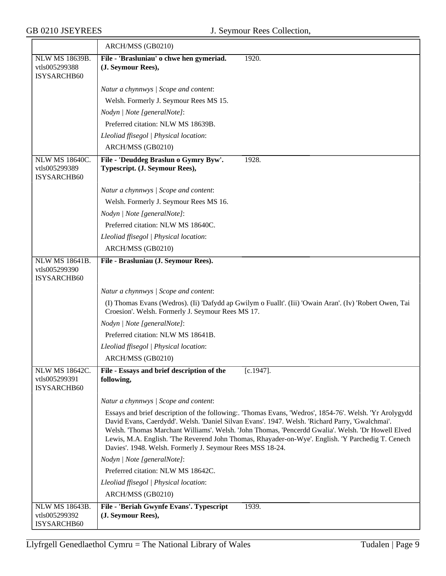|                                                | ARCH/MSS (GB0210)                                                                                                                                                                                                                                                                                                                                                                                                                                                                |
|------------------------------------------------|----------------------------------------------------------------------------------------------------------------------------------------------------------------------------------------------------------------------------------------------------------------------------------------------------------------------------------------------------------------------------------------------------------------------------------------------------------------------------------|
| NLW MS 18639B.<br>vtls005299388<br>ISYSARCHB60 | File - 'Brasluniau' o chwe hen gymeriad.<br>1920.<br>(J. Seymour Rees),                                                                                                                                                                                                                                                                                                                                                                                                          |
|                                                | Natur a chynnwys / Scope and content:                                                                                                                                                                                                                                                                                                                                                                                                                                            |
|                                                | Welsh. Formerly J. Seymour Rees MS 15.                                                                                                                                                                                                                                                                                                                                                                                                                                           |
|                                                | Nodyn   Note [generalNote]:                                                                                                                                                                                                                                                                                                                                                                                                                                                      |
|                                                | Preferred citation: NLW MS 18639B.                                                                                                                                                                                                                                                                                                                                                                                                                                               |
|                                                | Lleoliad ffisegol   Physical location:                                                                                                                                                                                                                                                                                                                                                                                                                                           |
|                                                | ARCH/MSS (GB0210)                                                                                                                                                                                                                                                                                                                                                                                                                                                                |
| NLW MS 18640C.<br>vtls005299389<br>ISYSARCHB60 | File - 'Deuddeg Braslun o Gymry Byw'.<br>1928.<br>Typescript. (J. Seymour Rees),                                                                                                                                                                                                                                                                                                                                                                                                 |
|                                                | Natur a chynnwys / Scope and content:                                                                                                                                                                                                                                                                                                                                                                                                                                            |
|                                                | Welsh. Formerly J. Seymour Rees MS 16.                                                                                                                                                                                                                                                                                                                                                                                                                                           |
|                                                | Nodyn   Note [generalNote]:                                                                                                                                                                                                                                                                                                                                                                                                                                                      |
|                                                | Preferred citation: NLW MS 18640C.                                                                                                                                                                                                                                                                                                                                                                                                                                               |
|                                                | Lleoliad ffisegol   Physical location:                                                                                                                                                                                                                                                                                                                                                                                                                                           |
|                                                | ARCH/MSS (GB0210)                                                                                                                                                                                                                                                                                                                                                                                                                                                                |
| NLW MS 18641B.<br>vtls005299390<br>ISYSARCHB60 | File - Brasluniau (J. Seymour Rees).                                                                                                                                                                                                                                                                                                                                                                                                                                             |
|                                                | Natur a chynnwys / Scope and content:                                                                                                                                                                                                                                                                                                                                                                                                                                            |
|                                                | (I) Thomas Evans (Wedros). (Ii) 'Dafydd ap Gwilym o Fuallt'. (Iii) 'Owain Aran'. (Iv) 'Robert Owen, Tai<br>Croesion'. Welsh. Formerly J. Seymour Rees MS 17.                                                                                                                                                                                                                                                                                                                     |
|                                                | Nodyn   Note [generalNote]:                                                                                                                                                                                                                                                                                                                                                                                                                                                      |
|                                                | Preferred citation: NLW MS 18641B.                                                                                                                                                                                                                                                                                                                                                                                                                                               |
|                                                | Lleoliad ffisegol   Physical location:                                                                                                                                                                                                                                                                                                                                                                                                                                           |
|                                                | ARCH/MSS (GB0210)                                                                                                                                                                                                                                                                                                                                                                                                                                                                |
| NLW MS 18642C.<br>vtls005299391<br>ISYSARCHB60 | File - Essays and brief description of the<br>$[c.1947]$ .<br>following,                                                                                                                                                                                                                                                                                                                                                                                                         |
|                                                | Natur a chynnwys / Scope and content:                                                                                                                                                                                                                                                                                                                                                                                                                                            |
|                                                | Essays and brief description of the following: Thomas Evans, 'Wedros', 1854-76'. Welsh. 'Yr Arolygydd<br>David Evans, Caerdydd'. Welsh. 'Daniel Silvan Evans'. 1947. Welsh. 'Richard Parry, 'Gwalchmai'.<br>Welsh. 'Thomas Marchant Williams'. Welsh. 'John Thomas, 'Pencerdd Gwalia'. Welsh. 'Dr Howell Elved<br>Lewis, M.A. English. 'The Reverend John Thomas, Rhayader-on-Wye'. English. 'Y Parchedig T. Cenech<br>Davies'. 1948. Welsh. Formerly J. Seymour Rees MSS 18-24. |
|                                                | Nodyn   Note [generalNote]:                                                                                                                                                                                                                                                                                                                                                                                                                                                      |
|                                                | Preferred citation: NLW MS 18642C.                                                                                                                                                                                                                                                                                                                                                                                                                                               |
|                                                | Lleoliad ffisegol   Physical location:                                                                                                                                                                                                                                                                                                                                                                                                                                           |
|                                                | ARCH/MSS (GB0210)                                                                                                                                                                                                                                                                                                                                                                                                                                                                |
| <b>NLW MS 18643B.</b>                          | File - 'Beriah Gwynfe Evans'. Typescript<br>1939.                                                                                                                                                                                                                                                                                                                                                                                                                                |
| vtls005299392<br>ISYSARCHB60                   | (J. Seymour Rees),                                                                                                                                                                                                                                                                                                                                                                                                                                                               |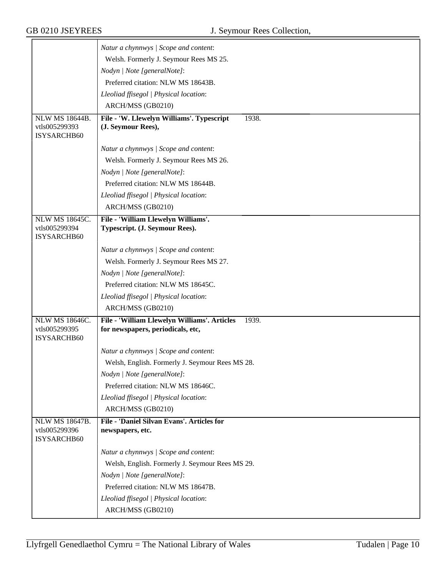|                                                       | Natur a chynnwys / Scope and content:                                                      |
|-------------------------------------------------------|--------------------------------------------------------------------------------------------|
|                                                       | Welsh. Formerly J. Seymour Rees MS 25.                                                     |
|                                                       | Nodyn   Note [generalNote]:                                                                |
|                                                       | Preferred citation: NLW MS 18643B.                                                         |
|                                                       | Lleoliad ffisegol   Physical location:                                                     |
|                                                       | ARCH/MSS (GB0210)                                                                          |
| <b>NLW MS 18644B.</b><br>vtls005299393<br>ISYSARCHB60 | File - 'W. Llewelyn Williams'. Typescript<br>1938.<br>(J. Seymour Rees),                   |
|                                                       | Natur a chynnwys / Scope and content:                                                      |
|                                                       | Welsh. Formerly J. Seymour Rees MS 26.                                                     |
|                                                       | Nodyn   Note [generalNote]:                                                                |
|                                                       | Preferred citation: NLW MS 18644B.                                                         |
|                                                       | Lleoliad ffisegol   Physical location:                                                     |
|                                                       | ARCH/MSS (GB0210)                                                                          |
| NLW MS 18645C.<br>vtls005299394<br>ISYSARCHB60        | File - 'William Llewelyn Williams'.<br>Typescript. (J. Seymour Rees).                      |
|                                                       | Natur a chynnwys / Scope and content:                                                      |
|                                                       | Welsh. Formerly J. Seymour Rees MS 27.                                                     |
|                                                       | Nodyn   Note [generalNote]:                                                                |
|                                                       | Preferred citation: NLW MS 18645C.                                                         |
|                                                       | Lleoliad ffisegol   Physical location:                                                     |
|                                                       | ARCH/MSS (GB0210)                                                                          |
| <b>NLW MS 18646C.</b><br>vtls005299395<br>ISYSARCHB60 | File - 'William Llewelyn Williams'. Articles<br>1939.<br>for newspapers, periodicals, etc, |
|                                                       | Natur a chynnwys / Scope and content:                                                      |
|                                                       | Welsh, English. Formerly J. Seymour Rees MS 28.                                            |
|                                                       | Nodyn   Note [generalNote]:                                                                |
|                                                       | Preferred citation: NLW MS 18646C.                                                         |
|                                                       | Lleoliad ffisegol   Physical location:                                                     |
|                                                       | ARCH/MSS (GB0210)                                                                          |
| <b>NLW MS 18647B.</b><br>vtls005299396<br>ISYSARCHB60 | File - 'Daniel Silvan Evans'. Articles for<br>newspapers, etc.                             |
|                                                       | Natur a chynnwys / Scope and content:                                                      |
|                                                       | Welsh, English. Formerly J. Seymour Rees MS 29.                                            |
|                                                       | Nodyn   Note [generalNote]:                                                                |
|                                                       | Preferred citation: NLW MS 18647B.                                                         |
|                                                       | Lleoliad ffisegol   Physical location:                                                     |
|                                                       | ARCH/MSS (GB0210)                                                                          |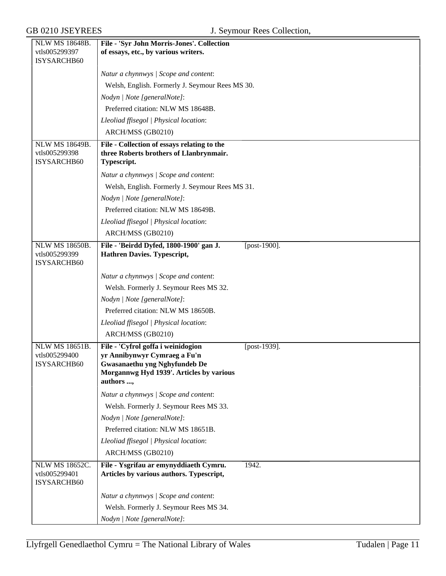| NLW MS 18648B.               | File - 'Syr John Morris-Jones'. Collection                                |
|------------------------------|---------------------------------------------------------------------------|
| vtls005299397                | of essays, etc., by various writers.                                      |
| ISYSARCHB60                  |                                                                           |
|                              | Natur a chynnwys / Scope and content:                                     |
|                              | Welsh, English. Formerly J. Seymour Rees MS 30.                           |
|                              | Nodyn   Note [generalNote]:                                               |
|                              | Preferred citation: NLW MS 18648B.                                        |
|                              | Lleoliad ffisegol   Physical location:                                    |
|                              | ARCH/MSS (GB0210)                                                         |
| <b>NLW MS 18649B.</b>        | File - Collection of essays relating to the                               |
| vtls005299398                | three Roberts brothers of Llanbrynmair.                                   |
| ISYSARCHB60                  | Typescript.                                                               |
|                              | Natur a chynnwys / Scope and content:                                     |
|                              | Welsh, English. Formerly J. Seymour Rees MS 31.                           |
|                              | Nodyn   Note [generalNote]:                                               |
|                              | Preferred citation: NLW MS 18649B.                                        |
|                              | Lleoliad ffisegol   Physical location:                                    |
|                              | ARCH/MSS (GB0210)                                                         |
| <b>NLW MS 18650B.</b>        | File - 'Beirdd Dyfed, 1800-1900' gan J.<br>$[post-1900]$ .                |
| vtls005299399                | <b>Hathren Davies. Typescript,</b>                                        |
| ISYSARCHB60                  |                                                                           |
|                              | Natur a chynnwys / Scope and content:                                     |
|                              | Welsh. Formerly J. Seymour Rees MS 32.                                    |
|                              | Nodyn   Note [generalNote]:                                               |
|                              | Preferred citation: NLW MS 18650B.                                        |
|                              | Lleoliad ffisegol   Physical location:                                    |
|                              | ARCH/MSS (GB0210)                                                         |
| <b>NLW MS 18651B.</b>        | File - 'Cyfrol goffa i weinidogion<br>[post-1939].                        |
| vtls005299400                | yr Annibynwyr Cymraeg a Fu'n                                              |
| ISYSARCHB60                  | Gwasanaethu yng Nghyfundeb De<br>Morgannwg Hyd 1939'. Articles by various |
|                              | authors ,                                                                 |
|                              | Natur a chynnwys / Scope and content:                                     |
|                              | Welsh. Formerly J. Seymour Rees MS 33.                                    |
|                              | Nodyn   Note [generalNote]:                                               |
|                              | Preferred citation: NLW MS 18651B.                                        |
|                              | Lleoliad ffisegol   Physical location:                                    |
|                              | ARCH/MSS (GB0210)                                                         |
| <b>NLW MS 18652C.</b>        | File - Ysgrifau ar emynyddiaeth Cymru.<br>1942.                           |
| vtls005299401<br>ISYSARCHB60 | Articles by various authors. Typescript,                                  |
|                              | Natur a chynnwys / Scope and content:                                     |
|                              | Welsh. Formerly J. Seymour Rees MS 34.                                    |
|                              | Nodyn   Note [generalNote]:                                               |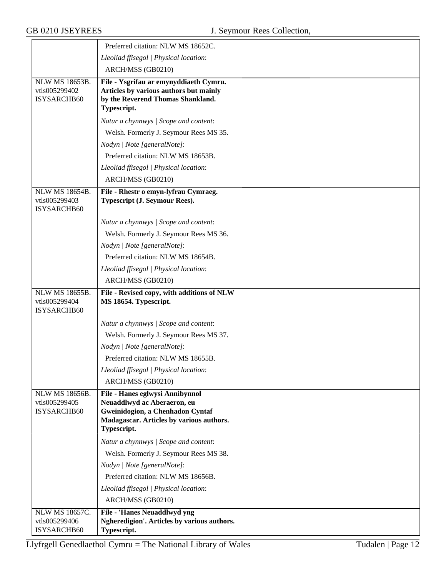|                                                       | Preferred citation: NLW MS 18652C.                                                                                                                            |
|-------------------------------------------------------|---------------------------------------------------------------------------------------------------------------------------------------------------------------|
|                                                       | Lleoliad ffisegol   Physical location:                                                                                                                        |
|                                                       | ARCH/MSS (GB0210)                                                                                                                                             |
| <b>NLW MS 18653B.</b><br>vtls005299402<br>ISYSARCHB60 | File - Ysgrifau ar emynyddiaeth Cymru.<br>Articles by various authors but mainly<br>by the Reverend Thomas Shankland.<br>Typescript.                          |
|                                                       | Natur a chynnwys / Scope and content:                                                                                                                         |
|                                                       | Welsh. Formerly J. Seymour Rees MS 35.                                                                                                                        |
|                                                       | Nodyn   Note [generalNote]:                                                                                                                                   |
|                                                       | Preferred citation: NLW MS 18653B.                                                                                                                            |
|                                                       | Lleoliad ffisegol   Physical location:                                                                                                                        |
|                                                       | ARCH/MSS (GB0210)                                                                                                                                             |
| <b>NLW MS 18654B.</b><br>vtls005299403<br>ISYSARCHB60 | File - Rhestr o emyn-lyfrau Cymraeg.<br>Typescript (J. Seymour Rees).                                                                                         |
|                                                       | Natur a chynnwys / Scope and content:                                                                                                                         |
|                                                       | Welsh. Formerly J. Seymour Rees MS 36.                                                                                                                        |
|                                                       | Nodyn   Note [generalNote]:                                                                                                                                   |
|                                                       | Preferred citation: NLW MS 18654B.                                                                                                                            |
|                                                       | Lleoliad ffisegol   Physical location:                                                                                                                        |
|                                                       | ARCH/MSS (GB0210)                                                                                                                                             |
| NLW MS 18655B.<br>vtls005299404<br>ISYSARCHB60        | File - Revised copy, with additions of NLW<br>MS 18654. Typescript.                                                                                           |
|                                                       | Natur a chynnwys / Scope and content:                                                                                                                         |
|                                                       | Welsh. Formerly J. Seymour Rees MS 37.                                                                                                                        |
|                                                       | Nodyn   Note [generalNote]:                                                                                                                                   |
|                                                       | Preferred citation: NLW MS 18655B.                                                                                                                            |
|                                                       | Lleoliad ffisegol   Physical location:                                                                                                                        |
|                                                       | ARCH/MSS (GB0210)                                                                                                                                             |
| <b>NLW MS 18656B.</b><br>vtls005299405<br>ISYSARCHB60 | File - Hanes eglwysi Annibynnol<br>Neuaddlwyd ac Aberaeron, eu<br>Gweinidogion, a Chenhadon Cyntaf<br>Madagascar. Articles by various authors.<br>Typescript. |
|                                                       | Natur a chynnwys / Scope and content:                                                                                                                         |
|                                                       | Welsh. Formerly J. Seymour Rees MS 38.                                                                                                                        |
|                                                       | Nodyn   Note [generalNote]:                                                                                                                                   |
|                                                       | Preferred citation: NLW MS 18656B.                                                                                                                            |
|                                                       | Lleoliad ffisegol   Physical location:                                                                                                                        |
|                                                       | ARCH/MSS (GB0210)                                                                                                                                             |
| <b>NLW MS 18657C.</b><br>vtls005299406<br>ISYSARCHB60 | File - 'Hanes Neuaddlwyd yng<br>Ngheredigion'. Articles by various authors.<br>Typescript.                                                                    |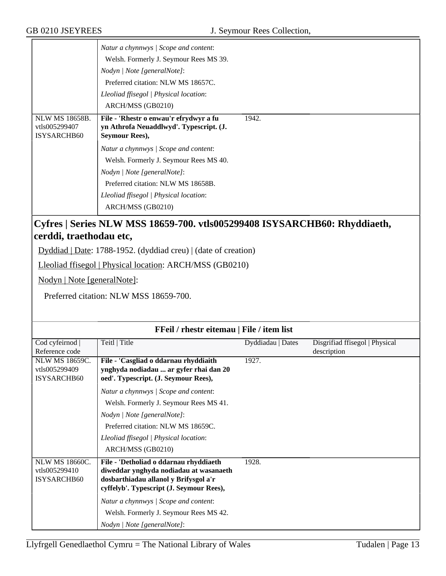|                                                              | Natur a chynnwys / Scope and content:<br>Welsh. Formerly J. Seymour Rees MS 39.<br>Nodyn / Note [generalNote]:<br>Preferred citation: NLW MS 18657C.<br>Lleoliad ffisegol   Physical location:<br>ARCH/MSS (GB0210)                   |
|--------------------------------------------------------------|---------------------------------------------------------------------------------------------------------------------------------------------------------------------------------------------------------------------------------------|
| <b>NLW MS 18658B.</b><br>vtls005299407<br><b>ISYSARCHB60</b> | File - 'Rhestr o enwau'r efrydwyr a fu<br>1942.<br>yn Athrofa Neuaddlwyd'. Typescript. (J.<br><b>Seymour Rees),</b><br>Natur a chynnwys / Scope and content:<br>Welsh. Formerly J. Seymour Rees MS 40.<br>Nodyn   Note [generalNote]: |
|                                                              | Preferred citation: NLW MS 18658B.<br>Lleoliad ffisegol   Physical location:<br>ARCH/MSS (GB0210)                                                                                                                                     |

### <span id="page-12-0"></span>**Cyfres | Series NLW MSS 18659-700. vtls005299408 ISYSARCHB60: Rhyddiaeth, cerddi, traethodau etc,**

Dyddiad | Date: 1788-1952. (dyddiad creu) | (date of creation)

Lleoliad ffisegol | Physical location: ARCH/MSS (GB0210)

Nodyn | Note [generalNote]:

Preferred citation: NLW MSS 18659-700.

| FFeil / rhestr eitemau   File / item list             |                                                                                                                                                                       |                   |                                |
|-------------------------------------------------------|-----------------------------------------------------------------------------------------------------------------------------------------------------------------------|-------------------|--------------------------------|
| Cod cyfeirnod                                         | Teitl   Title                                                                                                                                                         | Dyddiadau   Dates | Disgrifiad ffisegol   Physical |
| Reference code                                        |                                                                                                                                                                       |                   | description                    |
| <b>NLW MS 18659C.</b>                                 | File - 'Casgliad o ddarnau rhyddiaith                                                                                                                                 | 1927.             |                                |
| vtls005299409                                         | ynghyda nodiadau  ar gyfer rhai dan 20                                                                                                                                |                   |                                |
| ISYSARCHB60                                           | oed'. Typescript. (J. Seymour Rees),                                                                                                                                  |                   |                                |
|                                                       | Natur a chynnwys / Scope and content:                                                                                                                                 |                   |                                |
|                                                       | Welsh. Formerly J. Seymour Rees MS 41.                                                                                                                                |                   |                                |
|                                                       | Nodyn   Note [generalNote]:                                                                                                                                           |                   |                                |
|                                                       | Preferred citation: NLW MS 18659C.                                                                                                                                    |                   |                                |
|                                                       | Lleoliad ffisegol   Physical location:                                                                                                                                |                   |                                |
|                                                       | ARCH/MSS (GB0210)                                                                                                                                                     |                   |                                |
| NLW MS 18660C.<br>vtls005299410<br><b>ISYSARCHB60</b> | File - 'Detholiad o ddarnau rhyddiaeth<br>diweddar ynghyda nodiadau at wasanaeth<br>dosbarthiadau allanol y Brifysgol a'r<br>cyffelyb'. Typescript (J. Seymour Rees), | 1928.             |                                |
|                                                       | Natur a chynnwys / Scope and content:                                                                                                                                 |                   |                                |
|                                                       | Welsh. Formerly J. Seymour Rees MS 42.                                                                                                                                |                   |                                |
|                                                       | Nodyn   Note [generalNote]:                                                                                                                                           |                   |                                |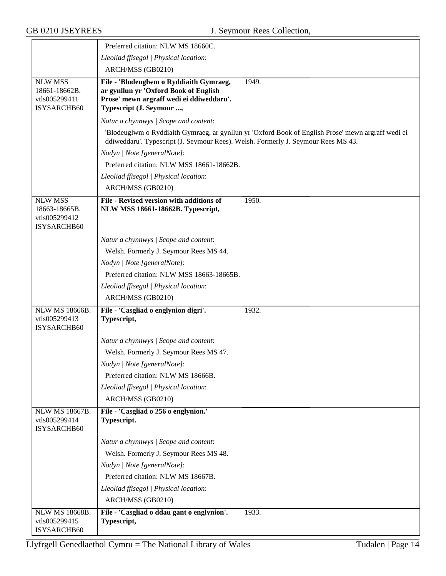|                                                                 | Preferred citation: NLW MS 18660C.                                                                                                                       |                                                                                                    |
|-----------------------------------------------------------------|----------------------------------------------------------------------------------------------------------------------------------------------------------|----------------------------------------------------------------------------------------------------|
|                                                                 | Lleoliad ffisegol   Physical location:                                                                                                                   |                                                                                                    |
|                                                                 | ARCH/MSS (GB0210)                                                                                                                                        |                                                                                                    |
| <b>NLW MSS</b><br>18661-18662B.<br>vtls005299411<br>ISYSARCHB60 | File - 'Blodeuglwm o Ryddiaith Gymraeg,<br>ar gynllun yr 'Oxford Book of English<br>Prose' mewn argraff wedi ei ddiweddaru'.<br>Typescript (J. Seymour , | 1949.                                                                                              |
|                                                                 | Natur a chynnwys / Scope and content:                                                                                                                    |                                                                                                    |
|                                                                 | ddiweddaru'. Typescript (J. Seymour Rees). Welsh. Formerly J. Seymour Rees MS 43.                                                                        | 'Blodeuglwm o Ryddiaith Gymraeg, ar gynllun yr 'Oxford Book of English Prose' mewn argraff wedi ei |
|                                                                 | Nodyn   Note [generalNote]:                                                                                                                              |                                                                                                    |
|                                                                 | Preferred citation: NLW MSS 18661-18662B.                                                                                                                |                                                                                                    |
|                                                                 | Lleoliad ffisegol   Physical location:                                                                                                                   |                                                                                                    |
|                                                                 | ARCH/MSS (GB0210)                                                                                                                                        |                                                                                                    |
| <b>NLW MSS</b><br>18663-18665B.<br>vtls005299412<br>ISYSARCHB60 | File - Revised version with additions of<br>NLW MSS 18661-18662B. Typescript,                                                                            | 1950.                                                                                              |
|                                                                 | Natur a chynnwys / Scope and content:                                                                                                                    |                                                                                                    |
|                                                                 | Welsh. Formerly J. Seymour Rees MS 44.                                                                                                                   |                                                                                                    |
|                                                                 | Nodyn   Note [generalNote]:                                                                                                                              |                                                                                                    |
|                                                                 | Preferred citation: NLW MSS 18663-18665B.                                                                                                                |                                                                                                    |
|                                                                 | Lleoliad ffisegol   Physical location:                                                                                                                   |                                                                                                    |
|                                                                 | ARCH/MSS (GB0210)                                                                                                                                        |                                                                                                    |
| <b>NLW MS 18666B.</b><br>vtls005299413<br>ISYSARCHB60           | File - 'Casgliad o englynion digri'.<br>Typescript,                                                                                                      | 1932.                                                                                              |
|                                                                 | Natur a chynnwys / Scope and content:                                                                                                                    |                                                                                                    |
|                                                                 | Welsh. Formerly J. Seymour Rees MS 47.                                                                                                                   |                                                                                                    |
|                                                                 | Nodyn   Note [generalNote]:                                                                                                                              |                                                                                                    |
|                                                                 | Preferred citation: NLW MS 18666B.                                                                                                                       |                                                                                                    |
|                                                                 | Lleoliad ffisegol   Physical location:                                                                                                                   |                                                                                                    |
|                                                                 | ARCH/MSS (GB0210)                                                                                                                                        |                                                                                                    |
| NLW MS 18667B.<br>vtls005299414<br>ISYSARCHB60                  | File - 'Casgliad o 256 o englynion.'<br>Typescript.                                                                                                      |                                                                                                    |
|                                                                 | Natur a chynnwys / Scope and content:                                                                                                                    |                                                                                                    |
|                                                                 | Welsh. Formerly J. Seymour Rees MS 48.                                                                                                                   |                                                                                                    |
|                                                                 | Nodyn   Note [generalNote]:                                                                                                                              |                                                                                                    |
|                                                                 | Preferred citation: NLW MS 18667B.                                                                                                                       |                                                                                                    |
|                                                                 | Lleoliad ffisegol   Physical location:                                                                                                                   |                                                                                                    |
|                                                                 | ARCH/MSS (GB0210)                                                                                                                                        |                                                                                                    |
| NLW MS 18668B.<br>vtls005299415<br>ISYSARCHB60                  | File - 'Casgliad o ddau gant o englynion'.<br>Typescript,                                                                                                | 1933.                                                                                              |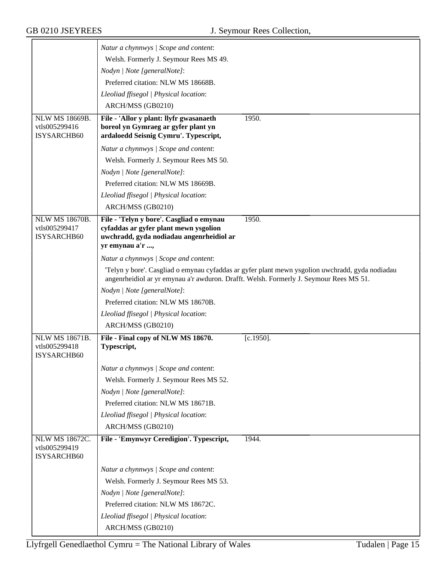|                                                       | Natur a chynnwys / Scope and content:                                                  |                                                                                                 |
|-------------------------------------------------------|----------------------------------------------------------------------------------------|-------------------------------------------------------------------------------------------------|
|                                                       | Welsh. Formerly J. Seymour Rees MS 49.                                                 |                                                                                                 |
|                                                       | Nodyn   Note [generalNote]:                                                            |                                                                                                 |
|                                                       | Preferred citation: NLW MS 18668B.                                                     |                                                                                                 |
|                                                       | Lleoliad ffisegol   Physical location:                                                 |                                                                                                 |
|                                                       | ARCH/MSS (GB0210)                                                                      |                                                                                                 |
| NLW MS 18669B.                                        | File - 'Allor y plant: llyfr gwasanaeth                                                | 1950.                                                                                           |
| vtls005299416<br>ISYSARCHB60                          | boreol yn Gymraeg ar gyfer plant yn<br>ardaloedd Seisnig Cymru'. Typescript,           |                                                                                                 |
|                                                       | Natur a chynnwys / Scope and content:                                                  |                                                                                                 |
|                                                       | Welsh. Formerly J. Seymour Rees MS 50.                                                 |                                                                                                 |
|                                                       | Nodyn   Note [generalNote]:                                                            |                                                                                                 |
|                                                       | Preferred citation: NLW MS 18669B.                                                     |                                                                                                 |
|                                                       | Lleoliad ffisegol   Physical location:                                                 |                                                                                                 |
|                                                       | ARCH/MSS (GB0210)                                                                      |                                                                                                 |
| <b>NLW MS 18670B.</b>                                 | File - 'Telyn y bore'. Casgliad o emynau                                               | 1950.                                                                                           |
| vtls005299417                                         | cyfaddas ar gyfer plant mewn ysgolion                                                  |                                                                                                 |
| ISYSARCHB60                                           | uwchradd, gyda nodiadau angenrheidiol ar<br>yr emynau a'r ,                            |                                                                                                 |
|                                                       | Natur a chynnwys / Scope and content:                                                  |                                                                                                 |
|                                                       |                                                                                        |                                                                                                 |
|                                                       | angenrheidiol ar yr emynau a'r awduron. Drafft. Welsh. Formerly J. Seymour Rees MS 51. | 'Telyn y bore'. Casgliad o emynau cyfaddas ar gyfer plant mewn ysgolion uwchradd, gyda nodiadau |
|                                                       | Nodyn   Note [generalNote]:                                                            |                                                                                                 |
|                                                       | Preferred citation: NLW MS 18670B.                                                     |                                                                                                 |
|                                                       | Lleoliad ffisegol   Physical location:                                                 |                                                                                                 |
|                                                       | ARCH/MSS (GB0210)                                                                      |                                                                                                 |
| <b>NLW MS 18671B.</b><br>vtls005299418<br>ISYSARCHB60 | File - Final copy of NLW MS 18670.<br>Typescript,                                      | $[c.1950]$ .                                                                                    |
|                                                       | Natur a chynnwys / Scope and content:                                                  |                                                                                                 |
|                                                       | Welsh. Formerly J. Seymour Rees MS 52.                                                 |                                                                                                 |
|                                                       | Nodyn   Note [generalNote]:                                                            |                                                                                                 |
|                                                       | Preferred citation: NLW MS 18671B.                                                     |                                                                                                 |
|                                                       | Lleoliad ffisegol   Physical location:                                                 |                                                                                                 |
|                                                       | ARCH/MSS (GB0210)                                                                      |                                                                                                 |
| NLW MS 18672C.                                        | File - 'Emynwyr Ceredigion'. Typescript,                                               | 1944.                                                                                           |
| vtls005299419<br>ISYSARCHB60                          |                                                                                        |                                                                                                 |
|                                                       | Natur a chynnwys / Scope and content:                                                  |                                                                                                 |
|                                                       | Welsh. Formerly J. Seymour Rees MS 53.                                                 |                                                                                                 |
|                                                       | Nodyn   Note [generalNote]:                                                            |                                                                                                 |
|                                                       | Preferred citation: NLW MS 18672C.                                                     |                                                                                                 |
|                                                       |                                                                                        |                                                                                                 |
|                                                       | Lleoliad ffisegol   Physical location:                                                 |                                                                                                 |
|                                                       | ARCH/MSS (GB0210)                                                                      |                                                                                                 |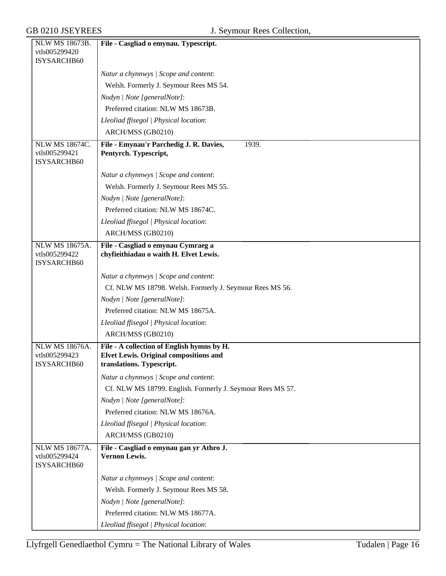| NLW MS 18673B.                                 | File - Casgliad o emynau. Typescript.                                        |
|------------------------------------------------|------------------------------------------------------------------------------|
| vtls005299420                                  |                                                                              |
| ISYSARCHB60                                    |                                                                              |
|                                                | Natur a chynnwys / Scope and content:                                        |
|                                                | Welsh. Formerly J. Seymour Rees MS 54.                                       |
|                                                | Nodyn   Note [generalNote]:                                                  |
|                                                | Preferred citation: NLW MS 18673B.                                           |
|                                                | Lleoliad ffisegol   Physical location:                                       |
|                                                | ARCH/MSS (GB0210)                                                            |
| <b>NLW MS 18674C.</b>                          | File - Emynau'r Parchedig J. R. Davies,<br>1939.                             |
| vtls005299421<br>ISYSARCHB60                   | Pentyrch. Typescript,                                                        |
|                                                | Natur a chynnwys / Scope and content:                                        |
|                                                | Welsh. Formerly J. Seymour Rees MS 55.                                       |
|                                                | Nodyn   Note [generalNote]:                                                  |
|                                                | Preferred citation: NLW MS 18674C.                                           |
|                                                | Lleoliad ffisegol   Physical location:                                       |
|                                                | ARCH/MSS (GB0210)                                                            |
| <b>NLW MS 18675A.</b>                          |                                                                              |
| vtls005299422<br>ISYSARCHB60                   | File - Casgliad o emynau Cymraeg a<br>chyfieithiadau o waith H. Elvet Lewis. |
|                                                | Natur a chynnwys / Scope and content:                                        |
|                                                | Cf. NLW MS 18798. Welsh. Formerly J. Seymour Rees MS 56.                     |
|                                                | Nodyn   Note [generalNote]:                                                  |
|                                                | Preferred citation: NLW MS 18675A.                                           |
|                                                | Lleoliad ffisegol   Physical location:                                       |
|                                                | ARCH/MSS (GB0210)                                                            |
| <b>NLW MS 18676A.</b>                          | File - A collection of English hymns by H.                                   |
| vtls005299423                                  | Elvet Lewis. Original compositions and                                       |
| ISYSARCHB60                                    | translations. Typescript.                                                    |
|                                                | Natur a chynnwys / Scope and content:                                        |
|                                                | Cf. NLW MS 18799. English. Formerly J. Seymour Rees MS 57.                   |
|                                                | Nodyn   Note [generalNote]:                                                  |
|                                                | Preferred citation: NLW MS 18676A.                                           |
|                                                | Lleoliad ffisegol   Physical location:                                       |
|                                                | ARCH/MSS (GB0210)                                                            |
| NLW MS 18677A.<br>vtls005299424<br>ISYSARCHB60 | File - Casgliad o emynau gan yr Athro J.<br><b>Vernon Lewis.</b>             |
|                                                | Natur a chynnwys / Scope and content:                                        |
|                                                | Welsh. Formerly J. Seymour Rees MS 58.                                       |
|                                                | Nodyn   Note [generalNote]:                                                  |
|                                                | Preferred citation: NLW MS 18677A.                                           |
|                                                | Lleoliad ffisegol   Physical location:                                       |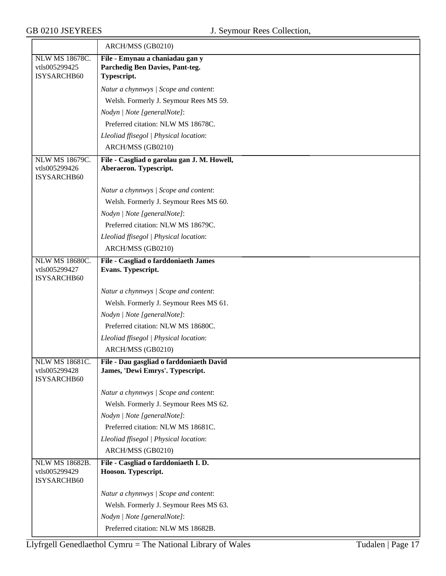|                                                       | ARCH/MSS (GB0210)                                                            |
|-------------------------------------------------------|------------------------------------------------------------------------------|
| <b>NLW MS 18678C.</b>                                 | File - Emynau a chaniadau gan y                                              |
| vtls005299425<br>ISYSARCHB60                          | Parchedig Ben Davies, Pant-teg.<br>Typescript.                               |
|                                                       |                                                                              |
|                                                       | Natur a chynnwys / Scope and content:                                        |
|                                                       | Welsh. Formerly J. Seymour Rees MS 59.                                       |
|                                                       | Nodyn   Note [generalNote]:                                                  |
|                                                       | Preferred citation: NLW MS 18678C.                                           |
|                                                       | Lleoliad ffisegol   Physical location:                                       |
|                                                       | ARCH/MSS (GB0210)                                                            |
| <b>NLW MS 18679C.</b><br>vtls005299426<br>ISYSARCHB60 | File - Casgliad o garolau gan J. M. Howell,<br>Aberaeron. Typescript.        |
|                                                       | Natur a chynnwys / Scope and content:                                        |
|                                                       | Welsh. Formerly J. Seymour Rees MS 60.                                       |
|                                                       | Nodyn   Note [generalNote]:                                                  |
|                                                       | Preferred citation: NLW MS 18679C.                                           |
|                                                       | Lleoliad ffisegol   Physical location:                                       |
|                                                       | ARCH/MSS (GB0210)                                                            |
| <b>NLW MS 18680C.</b><br>vtls005299427<br>ISYSARCHB60 | File - Casgliad o farddoniaeth James<br>Evans. Typescript.                   |
|                                                       | Natur a chynnwys / Scope and content:                                        |
|                                                       | Welsh. Formerly J. Seymour Rees MS 61.                                       |
|                                                       | Nodyn   Note [generalNote]:                                                  |
|                                                       | Preferred citation: NLW MS 18680C.                                           |
|                                                       | Lleoliad ffisegol   Physical location:                                       |
|                                                       | ARCH/MSS (GB0210)                                                            |
| NLW MS 18681C.<br>vtls005299428<br>ISYSARCHB60        | File - Dau gasgliad o farddoniaeth David<br>James, 'Dewi Emrys'. Typescript. |
|                                                       | Natur a chynnwys / Scope and content:                                        |
|                                                       | Welsh. Formerly J. Seymour Rees MS 62.                                       |
|                                                       | Nodyn   Note [generalNote]:                                                  |
|                                                       | Preferred citation: NLW MS 18681C.                                           |
|                                                       | Lleoliad ffisegol   Physical location:                                       |
|                                                       | ARCH/MSS (GB0210)                                                            |
| NLW MS 18682B.<br>vtls005299429<br>ISYSARCHB60        | File - Casgliad o farddoniaeth I.D.<br>Hooson. Typescript.                   |
|                                                       | Natur a chynnwys / Scope and content:                                        |
|                                                       | Welsh. Formerly J. Seymour Rees MS 63.                                       |
|                                                       | Nodyn   Note [generalNote]:                                                  |
|                                                       | Preferred citation: NLW MS 18682B.                                           |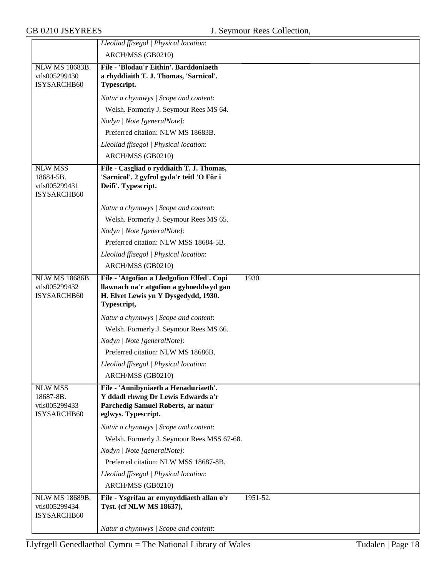|                                                             | Lleoliad ffisegol   Physical location:                                                                                                                |
|-------------------------------------------------------------|-------------------------------------------------------------------------------------------------------------------------------------------------------|
|                                                             | ARCH/MSS (GB0210)                                                                                                                                     |
| <b>NLW MS 18683B.</b>                                       | File - 'Blodau'r Eithin'. Barddoniaeth                                                                                                                |
| vtls005299430                                               | a rhyddiaith T. J. Thomas, 'Sarnicol'.                                                                                                                |
| ISYSARCHB60                                                 | Typescript.                                                                                                                                           |
|                                                             | Natur a chynnwys / Scope and content:                                                                                                                 |
|                                                             | Welsh. Formerly J. Seymour Rees MS 64.                                                                                                                |
|                                                             | Nodyn   Note [generalNote]:                                                                                                                           |
|                                                             | Preferred citation: NLW MS 18683B.                                                                                                                    |
|                                                             | Lleoliad ffisegol   Physical location:                                                                                                                |
|                                                             | ARCH/MSS (GB0210)                                                                                                                                     |
| <b>NLW MSS</b><br>18684-5B.<br>vtls005299431<br>ISYSARCHB60 | File - Casgliad o ryddiaith T. J. Thomas,<br>'Sarnicol'. 2 gyfrol gyda'r teitl 'O Fôr i<br>Deifi'. Typescript.                                        |
|                                                             | Natur a chynnwys / Scope and content:                                                                                                                 |
|                                                             | Welsh. Formerly J. Seymour Rees MS 65.                                                                                                                |
|                                                             | Nodyn   Note [generalNote]:                                                                                                                           |
|                                                             | Preferred citation: NLW MSS 18684-5B.                                                                                                                 |
|                                                             | Lleoliad ffisegol   Physical location:                                                                                                                |
|                                                             | ARCH/MSS (GB0210)                                                                                                                                     |
| NLW MS 18686B.<br>vtls005299432<br>ISYSARCHB60              | File - 'Atgofion a Lledgofion Elfed'. Copi<br>1930.<br>llawnach na'r atgofion a gyhoeddwyd gan<br>H. Elvet Lewis yn Y Dysgedydd, 1930.<br>Typescript, |
|                                                             | Natur a chynnwys / Scope and content:                                                                                                                 |
|                                                             | Welsh. Formerly J. Seymour Rees MS 66.                                                                                                                |
|                                                             | Nodyn   Note [generalNote]:                                                                                                                           |
|                                                             | Preferred citation: NLW MS 18686B.                                                                                                                    |
|                                                             | Lleoliad ffisegol   Physical location:                                                                                                                |
|                                                             | ARCH/MSS (GB0210)                                                                                                                                     |
| <b>NLW MSS</b><br>18687-8B.<br>vtls005299433<br>ISYSARCHB60 | File - 'Annibyniaeth a Henaduriaeth'.<br>Y ddadl rhwng Dr Lewis Edwards a'r<br>Parchedig Samuel Roberts, ar natur<br>eglwys. Typescript.              |
|                                                             | Natur a chynnwys / Scope and content:                                                                                                                 |
|                                                             | Welsh. Formerly J. Seymour Rees MSS 67-68.                                                                                                            |
|                                                             | Nodyn   Note [generalNote]:                                                                                                                           |
|                                                             | Preferred citation: NLW MSS 18687-8B.                                                                                                                 |
|                                                             | Lleoliad ffisegol   Physical location:                                                                                                                |
|                                                             | ARCH/MSS (GB0210)                                                                                                                                     |
| NLW MS 18689B.<br>vtls005299434<br>ISYSARCHB60              | File - Ysgrifau ar emynyddiaeth allan o'r<br>1951-52.<br>Tyst. (cf NLW MS 18637),                                                                     |
|                                                             | Natur a chynnwys / Scope and content:                                                                                                                 |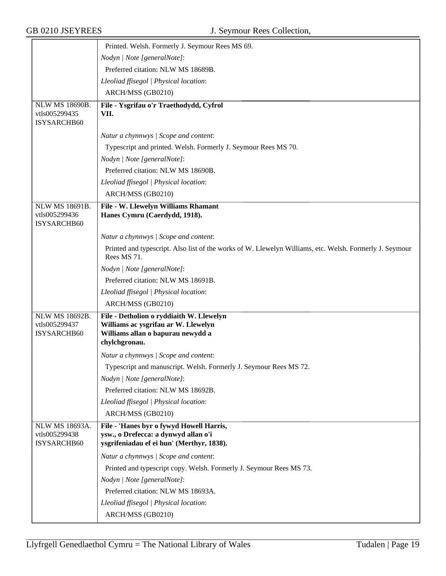|                              | Printed. Welsh. Formerly J. Seymour Rees MS 69.                                                                        |
|------------------------------|------------------------------------------------------------------------------------------------------------------------|
|                              | Nodyn   Note [generalNote]:                                                                                            |
|                              | Preferred citation: NLW MS 18689B.                                                                                     |
|                              | Lleoliad ffisegol   Physical location:                                                                                 |
|                              | ARCH/MSS (GB0210)                                                                                                      |
| NLW MS 18690B.               | File - Ysgrifau o'r Traethodydd, Cyfrol                                                                                |
| vtls005299435                | VII.                                                                                                                   |
| ISYSARCHB60                  |                                                                                                                        |
|                              | Natur a chynnwys / Scope and content:                                                                                  |
|                              | Typescript and printed. Welsh. Formerly J. Seymour Rees MS 70.                                                         |
|                              | Nodyn   Note [generalNote]:                                                                                            |
|                              | Preferred citation: NLW MS 18690B.                                                                                     |
|                              | Lleoliad ffisegol   Physical location:                                                                                 |
|                              | ARCH/MSS (GB0210)                                                                                                      |
| NLW MS 18691B.               | File - W. Llewelyn Williams Rhamant                                                                                    |
| vtls005299436<br>ISYSARCHB60 | Hanes Cymru (Caerdydd, 1918).                                                                                          |
|                              | Natur a chynnwys / Scope and content:                                                                                  |
|                              | Printed and typescript. Also list of the works of W. Llewelyn Williams, etc. Welsh. Formerly J. Seymour<br>Rees MS 71. |
|                              | Nodyn   Note [generalNote]:                                                                                            |
|                              | Preferred citation: NLW MS 18691B.                                                                                     |
|                              | Lleoliad ffisegol   Physical location:                                                                                 |
|                              | ARCH/MSS (GB0210)                                                                                                      |
| NLW MS 18692B.               | File - Detholion o ryddiaith W. Llewelyn                                                                               |
| vtls005299437                | Williams ac ysgrifau ar W. Llewelyn                                                                                    |
| <b>ISYSARCHB60</b>           | Williams allan o bapurau newydd a<br>chylchgronau.                                                                     |
|                              | Natur a chynnwys / Scope and content:                                                                                  |
|                              | Typescript and manuscript. Welsh. Formerly J. Seymour Rees MS 72.                                                      |
|                              | Nodyn   Note [generalNote]:                                                                                            |
|                              | Preferred citation: NLW MS 18692B.                                                                                     |
|                              | Lleoliad ffisegol   Physical location:                                                                                 |
|                              | ARCH/MSS (GB0210)                                                                                                      |
| NLW MS 18693A.               | File - 'Hanes byr o fywyd Howell Harris,                                                                               |
| vtls005299438<br>ISYSARCHB60 | ysw., o Drefecca: a dynwyd allan o'i<br>ysgrifeniadau ef ei hun' (Merthyr, 1838).                                      |
|                              | Natur a chynnwys / Scope and content:                                                                                  |
|                              | Printed and typescript copy. Welsh. Formerly J. Seymour Rees MS 73.                                                    |
|                              | Nodyn   Note [generalNote]:                                                                                            |
|                              | Preferred citation: NLW MS 18693A.                                                                                     |
|                              | Lleoliad ffisegol   Physical location:                                                                                 |
|                              | ARCH/MSS (GB0210)                                                                                                      |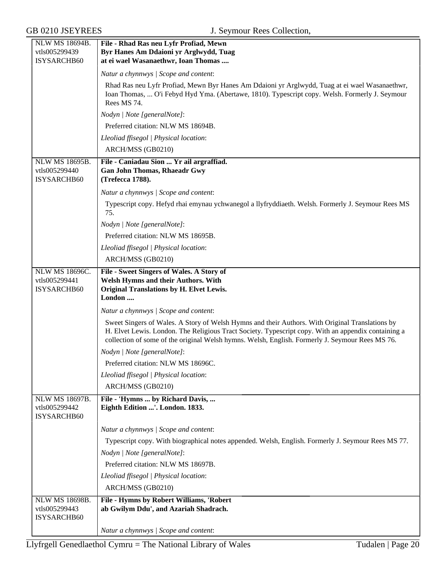| <b>NLW MS 18694B.</b>                                 | File - Rhad Ras neu Lyfr Profiad, Mewn                                                                                                                                                                                                                                                                    |  |
|-------------------------------------------------------|-----------------------------------------------------------------------------------------------------------------------------------------------------------------------------------------------------------------------------------------------------------------------------------------------------------|--|
| vtls005299439                                         | Byr Hanes Am Ddaioni yr Arglwydd, Tuag                                                                                                                                                                                                                                                                    |  |
| ISYSARCHB60                                           | at ei wael Wasanaethwr, Ioan Thomas                                                                                                                                                                                                                                                                       |  |
|                                                       | Natur a chynnwys / Scope and content:                                                                                                                                                                                                                                                                     |  |
|                                                       | Rhad Ras neu Lyfr Profiad, Mewn Byr Hanes Am Ddaioni yr Arglwydd, Tuag at ei wael Wasanaethwr,<br>Ioan Thomas,  O'i Febyd Hyd Yma. (Abertawe, 1810). Typescript copy. Welsh. Formerly J. Seymour<br>Rees MS 74.                                                                                           |  |
|                                                       | Nodyn   Note [generalNote]:                                                                                                                                                                                                                                                                               |  |
|                                                       | Preferred citation: NLW MS 18694B.                                                                                                                                                                                                                                                                        |  |
|                                                       | Lleoliad ffisegol   Physical location:                                                                                                                                                                                                                                                                    |  |
|                                                       | ARCH/MSS (GB0210)                                                                                                                                                                                                                                                                                         |  |
| NLW MS 18695B.<br>vtls005299440<br>ISYSARCHB60        | File - Caniadau Sion  Yr ail argraffiad.<br><b>Gan John Thomas, Rhaeadr Gwy</b><br>(Trefecca 1788).                                                                                                                                                                                                       |  |
|                                                       | Natur a chynnwys / Scope and content:                                                                                                                                                                                                                                                                     |  |
|                                                       | Typescript copy. Hefyd rhai emynau ychwanegol a llyfryddiaeth. Welsh. Formerly J. Seymour Rees MS<br>75.                                                                                                                                                                                                  |  |
|                                                       | Nodyn   Note [generalNote]:                                                                                                                                                                                                                                                                               |  |
|                                                       | Preferred citation: NLW MS 18695B.                                                                                                                                                                                                                                                                        |  |
|                                                       | Lleoliad ffisegol   Physical location:                                                                                                                                                                                                                                                                    |  |
|                                                       | ARCH/MSS (GB0210)                                                                                                                                                                                                                                                                                         |  |
| NLW MS 18696C.<br>vtls005299441<br>ISYSARCHB60        | File - Sweet Singers of Wales. A Story of<br>Welsh Hymns and their Authors. With<br><b>Original Translations by H. Elvet Lewis.</b>                                                                                                                                                                       |  |
|                                                       | London                                                                                                                                                                                                                                                                                                    |  |
|                                                       | Natur a chynnwys / Scope and content:                                                                                                                                                                                                                                                                     |  |
|                                                       | Sweet Singers of Wales. A Story of Welsh Hymns and their Authors. With Original Translations by<br>H. Elvet Lewis. London. The Religious Tract Society. Typescript copy. With an appendix containing a<br>collection of some of the original Welsh hymns. Welsh, English. Formerly J. Seymour Rees MS 76. |  |
|                                                       | Nodyn   Note [generalNote]:                                                                                                                                                                                                                                                                               |  |
|                                                       | Preferred citation: NLW MS 18696C                                                                                                                                                                                                                                                                         |  |
|                                                       | Lleoliad ffisegol   Physical location:                                                                                                                                                                                                                                                                    |  |
|                                                       | ARCH/MSS (GB0210)                                                                                                                                                                                                                                                                                         |  |
| NLW MS 18697B.<br>vtls005299442<br>ISYSARCHB60        | File - 'Hymns  by Richard Davis,<br>Eighth Edition '. London. 1833.                                                                                                                                                                                                                                       |  |
|                                                       | Natur a chynnwys / Scope and content:                                                                                                                                                                                                                                                                     |  |
|                                                       | Typescript copy. With biographical notes appended. Welsh, English. Formerly J. Seymour Rees MS 77.                                                                                                                                                                                                        |  |
|                                                       | Nodyn   Note [generalNote]:                                                                                                                                                                                                                                                                               |  |
|                                                       | Preferred citation: NLW MS 18697B.                                                                                                                                                                                                                                                                        |  |
|                                                       | Lleoliad ffisegol   Physical location:                                                                                                                                                                                                                                                                    |  |
|                                                       | ARCH/MSS (GB0210)                                                                                                                                                                                                                                                                                         |  |
| <b>NLW MS 18698B.</b><br>vtls005299443<br>ISYSARCHB60 | File - Hymns by Robert Williams, 'Robert<br>ab Gwilym Ddu', and Azariah Shadrach.                                                                                                                                                                                                                         |  |
|                                                       | Natur a chynnwys / Scope and content:                                                                                                                                                                                                                                                                     |  |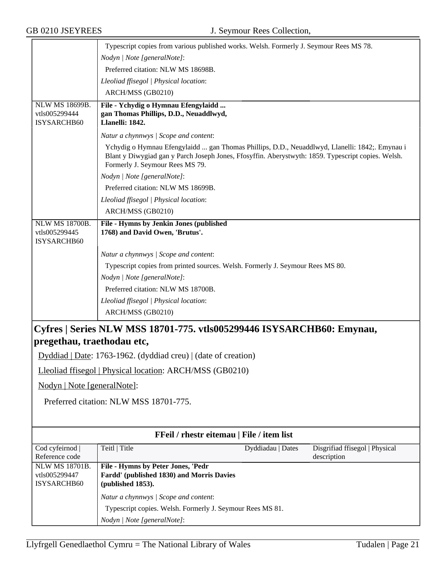| <b>GB 0210 JSEYREES</b>                               | J. Seymour Rees Collection,                                                                                                                                                                                                             |  |
|-------------------------------------------------------|-----------------------------------------------------------------------------------------------------------------------------------------------------------------------------------------------------------------------------------------|--|
|                                                       | Typescript copies from various published works. Welsh. Formerly J. Seymour Rees MS 78.                                                                                                                                                  |  |
|                                                       | Nodyn   Note [generalNote]:                                                                                                                                                                                                             |  |
|                                                       | Preferred citation: NLW MS 18698B.                                                                                                                                                                                                      |  |
|                                                       | Lleoliad ffisegol   Physical location:                                                                                                                                                                                                  |  |
|                                                       | ARCH/MSS (GB0210)                                                                                                                                                                                                                       |  |
| NLW MS 18699B.<br>vtls005299444<br>ISYSARCHB60        | File - Ychydig o Hymnau Efengylaidd<br>gan Thomas Phillips, D.D., Neuaddlwyd,<br>Llanelli: 1842.                                                                                                                                        |  |
|                                                       | Natur a chynnwys / Scope and content:                                                                                                                                                                                                   |  |
|                                                       | Ychydig o Hymnau Efengylaidd  gan Thomas Phillips, D.D., Neuaddlwyd, Llanelli: 1842;. Emynau i<br>Blant y Diwygiad gan y Parch Joseph Jones, Ffosyffin. Aberystwyth: 1859. Typescript copies. Welsh.<br>Formerly J. Seymour Rees MS 79. |  |
|                                                       | Nodyn   Note [generalNote]:                                                                                                                                                                                                             |  |
|                                                       | Preferred citation: NLW MS 18699B.                                                                                                                                                                                                      |  |
|                                                       | Lleoliad ffisegol   Physical location:                                                                                                                                                                                                  |  |
|                                                       | ARCH/MSS (GB0210)                                                                                                                                                                                                                       |  |
| <b>NLW MS 18700B.</b><br>vtls005299445<br>ISYSARCHB60 | File - Hymns by Jenkin Jones (published<br>1768) and David Owen, 'Brutus'.                                                                                                                                                              |  |
|                                                       | Natur a chynnwys / Scope and content:                                                                                                                                                                                                   |  |
|                                                       | Typescript copies from printed sources. Welsh. Formerly J. Seymour Rees MS 80.                                                                                                                                                          |  |
|                                                       | Nodyn   Note [generalNote]:                                                                                                                                                                                                             |  |
|                                                       | Preferred citation: NLW MS 18700B.                                                                                                                                                                                                      |  |
|                                                       | Lleoliad ffisegol   Physical location:                                                                                                                                                                                                  |  |
|                                                       | ARCH/MSS (GB0210)                                                                                                                                                                                                                       |  |
| pregethau, traethodau etc,                            | Cyfres   Series NLW MSS 18701-775. vtls005299446 ISYSARCHB60: Emynau,                                                                                                                                                                   |  |
|                                                       | Dyddiad   Date: 1763-1962. (dyddiad creu)   (date of creation)                                                                                                                                                                          |  |
|                                                       | Lleoliad ffisegol   Physical location: ARCH/MSS (GB0210)                                                                                                                                                                                |  |
| Nodyn   Note [generalNote]:                           |                                                                                                                                                                                                                                         |  |
|                                                       | Preferred citation: NLW MSS 18701-775.                                                                                                                                                                                                  |  |
|                                                       | FFeil / rhestr eitemau   File / item list                                                                                                                                                                                               |  |

<span id="page-20-0"></span>

| Cod cyfeirnod         | Teitl   Title                                             | Dyddiadau   Dates | Disgrifiad ffisegol   Physical |
|-----------------------|-----------------------------------------------------------|-------------------|--------------------------------|
| Reference code        |                                                           |                   | description                    |
| <b>NLW MS 18701B.</b> | File - Hymns by Peter Jones, 'Pedr                        |                   |                                |
| vtls005299447         | Fardd' (published 1830) and Morris Davies                 |                   |                                |
| ISYSARCHB60           | (published 1853).                                         |                   |                                |
|                       | Natur a chynnwys / Scope and content:                     |                   |                                |
|                       | Typescript copies. Welsh. Formerly J. Seymour Rees MS 81. |                   |                                |
|                       | Nodyn / Note [generalNote]:                               |                   |                                |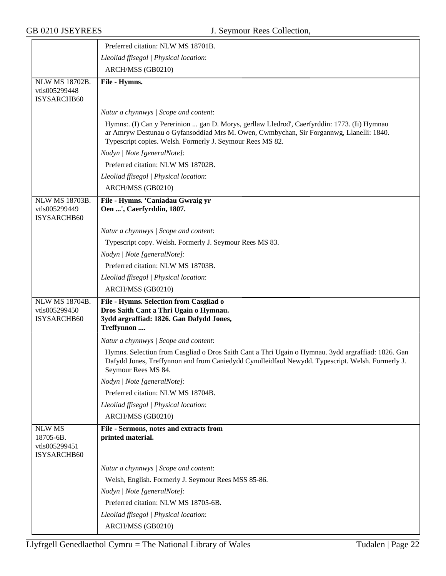|                                                            | Preferred citation: NLW MS 18701B.                                                                                                                                                                                                                   |  |
|------------------------------------------------------------|------------------------------------------------------------------------------------------------------------------------------------------------------------------------------------------------------------------------------------------------------|--|
|                                                            | Lleoliad ffisegol   Physical location:                                                                                                                                                                                                               |  |
|                                                            | ARCH/MSS (GB0210)                                                                                                                                                                                                                                    |  |
| NLW MS 18702B.<br>vtls005299448<br>ISYSARCHB60             | File - Hymns.                                                                                                                                                                                                                                        |  |
|                                                            | Natur a chynnwys / Scope and content:                                                                                                                                                                                                                |  |
|                                                            | Hymns:. (I) Can y Pererinion  gan D. Morys, gerllaw Lledrod', Caerfyrddin: 1773. (Ii) Hymnau<br>ar Amryw Destunau o Gyfansoddiad Mrs M. Owen, Cwmbychan, Sir Forgannwg, Llanelli: 1840.<br>Typescript copies. Welsh. Formerly J. Seymour Rees MS 82. |  |
|                                                            | Nodyn   Note [generalNote]:                                                                                                                                                                                                                          |  |
|                                                            | Preferred citation: NLW MS 18702B.                                                                                                                                                                                                                   |  |
|                                                            | Lleoliad ffisegol   Physical location:                                                                                                                                                                                                               |  |
|                                                            | ARCH/MSS (GB0210)                                                                                                                                                                                                                                    |  |
| <b>NLW MS 18703B.</b><br>vtls005299449<br>ISYSARCHB60      | File - Hymns. 'Caniadau Gwraig yr<br>Oen ', Caerfyrddin, 1807.                                                                                                                                                                                       |  |
|                                                            | Natur a chynnwys / Scope and content:                                                                                                                                                                                                                |  |
|                                                            | Typescript copy. Welsh. Formerly J. Seymour Rees MS 83.                                                                                                                                                                                              |  |
|                                                            | Nodyn   Note [generalNote]:                                                                                                                                                                                                                          |  |
|                                                            | Preferred citation: NLW MS 18703B.                                                                                                                                                                                                                   |  |
|                                                            | Lleoliad ffisegol   Physical location:                                                                                                                                                                                                               |  |
|                                                            | ARCH/MSS (GB0210)                                                                                                                                                                                                                                    |  |
| NLW MS 18704B.<br>vtls005299450<br>ISYSARCHB60             | File - Hymns. Selection from Casgliad o<br>Dros Saith Cant a Thri Ugain o Hymnau.<br>3ydd argraffiad: 1826. Gan Dafydd Jones,<br>Treffynnon                                                                                                          |  |
|                                                            | Natur a chynnwys / Scope and content:                                                                                                                                                                                                                |  |
|                                                            | Hymns. Selection from Casgliad o Dros Saith Cant a Thri Ugain o Hymnau. 3ydd argraffiad: 1826. Gan<br>Dafydd Jones, Treffynnon and from Caniedydd Cynulleidfaol Newydd. Typescript. Welsh. Formerly J.<br>Seymour Rees MS 84.                        |  |
|                                                            | Nodyn   Note [generalNote]:                                                                                                                                                                                                                          |  |
|                                                            | Preferred citation: NLW MS 18704B.                                                                                                                                                                                                                   |  |
|                                                            | Lleoliad ffisegol   Physical location:                                                                                                                                                                                                               |  |
|                                                            | ARCH/MSS (GB0210)                                                                                                                                                                                                                                    |  |
| <b>NLW MS</b><br>18705-6B.<br>vtls005299451<br>ISYSARCHB60 | File - Sermons, notes and extracts from<br>printed material.                                                                                                                                                                                         |  |
|                                                            | Natur a chynnwys / Scope and content:                                                                                                                                                                                                                |  |
|                                                            | Welsh, English. Formerly J. Seymour Rees MSS 85-86.                                                                                                                                                                                                  |  |
|                                                            | Nodyn   Note [generalNote]:                                                                                                                                                                                                                          |  |
|                                                            | Preferred citation: NLW MS 18705-6B.                                                                                                                                                                                                                 |  |
|                                                            | Lleoliad ffisegol   Physical location:                                                                                                                                                                                                               |  |
|                                                            | ARCH/MSS (GB0210)                                                                                                                                                                                                                                    |  |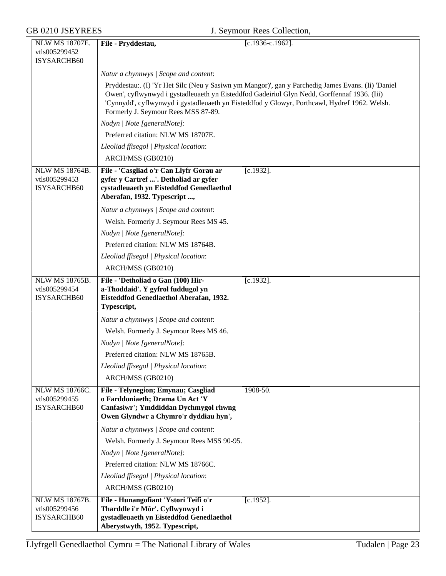| <b>NLW MS 18707E.</b>                                 | File - Pryddestau,                                                                                                                                       | [c.1936-c.1962].                                                                                                                                                                                                                                                                                 |
|-------------------------------------------------------|----------------------------------------------------------------------------------------------------------------------------------------------------------|--------------------------------------------------------------------------------------------------------------------------------------------------------------------------------------------------------------------------------------------------------------------------------------------------|
| vtls005299452                                         |                                                                                                                                                          |                                                                                                                                                                                                                                                                                                  |
| ISYSARCHB60                                           |                                                                                                                                                          |                                                                                                                                                                                                                                                                                                  |
|                                                       | Natur a chynnwys / Scope and content:                                                                                                                    |                                                                                                                                                                                                                                                                                                  |
|                                                       | Formerly J. Seymour Rees MSS 87-89.                                                                                                                      | Pryddestau: (I) 'Yr Het Silc (Neu y Sasiwn ym Mangor)', gan y Parchedig James Evans. (Ii) 'Daniel<br>Owen', cyflwynwyd i gystadleuaeth yn Eisteddfod Gadeiriol Glyn Nedd, Gorffennaf 1936. (Iii)<br>'Cynnydd', cyflwynwyd i gystadleuaeth yn Eisteddfod y Glowyr, Porthcawl, Hydref 1962. Welsh. |
|                                                       | Nodyn   Note [generalNote]:                                                                                                                              |                                                                                                                                                                                                                                                                                                  |
|                                                       | Preferred citation: NLW MS 18707E.                                                                                                                       |                                                                                                                                                                                                                                                                                                  |
|                                                       | Lleoliad ffisegol   Physical location:                                                                                                                   |                                                                                                                                                                                                                                                                                                  |
|                                                       | ARCH/MSS (GB0210)                                                                                                                                        |                                                                                                                                                                                                                                                                                                  |
| <b>NLW MS 18764B.</b><br>vtls005299453<br>ISYSARCHB60 | File - 'Casgliad o'r Can Llyfr Gorau ar<br>gyfer y Cartref '. Detholiad ar gyfer                                                                         | $[c.1932]$ .                                                                                                                                                                                                                                                                                     |
|                                                       | cystadleuaeth yn Eisteddfod Genedlaethol<br>Aberafan, 1932. Typescript,                                                                                  |                                                                                                                                                                                                                                                                                                  |
|                                                       | Natur a chynnwys / Scope and content:                                                                                                                    |                                                                                                                                                                                                                                                                                                  |
|                                                       | Welsh. Formerly J. Seymour Rees MS 45.                                                                                                                   |                                                                                                                                                                                                                                                                                                  |
|                                                       | Nodyn   Note [generalNote]:                                                                                                                              |                                                                                                                                                                                                                                                                                                  |
|                                                       | Preferred citation: NLW MS 18764B.                                                                                                                       |                                                                                                                                                                                                                                                                                                  |
|                                                       | Lleoliad ffisegol   Physical location:                                                                                                                   |                                                                                                                                                                                                                                                                                                  |
|                                                       | ARCH/MSS (GB0210)                                                                                                                                        |                                                                                                                                                                                                                                                                                                  |
| <b>NLW MS 18765B.</b>                                 | File - 'Detholiad o Gan (100) Hir-                                                                                                                       | $[c.1932]$ .                                                                                                                                                                                                                                                                                     |
| vtls005299454<br>ISYSARCHB60                          | a-Thoddaid'. Y gyfrol fuddugol yn<br>Eisteddfod Genedlaethol Aberafan, 1932.<br>Typescript,                                                              |                                                                                                                                                                                                                                                                                                  |
|                                                       |                                                                                                                                                          |                                                                                                                                                                                                                                                                                                  |
|                                                       | Natur a chynnwys / Scope and content:<br>Welsh. Formerly J. Seymour Rees MS 46.                                                                          |                                                                                                                                                                                                                                                                                                  |
|                                                       | Nodyn   Note [generalNote]:                                                                                                                              |                                                                                                                                                                                                                                                                                                  |
|                                                       | Preferred citation: NLW MS 18765B.                                                                                                                       |                                                                                                                                                                                                                                                                                                  |
|                                                       | Lleoliad ffisegol   Physical location:                                                                                                                   |                                                                                                                                                                                                                                                                                                  |
|                                                       | ARCH/MSS (GB0210)                                                                                                                                        |                                                                                                                                                                                                                                                                                                  |
| <b>NLW MS 18766C.</b><br>vtls005299455<br>ISYSARCHB60 | File - Telynegion; Emynau; Casgliad<br>o Farddoniaeth; Drama Un Act 'Y<br>Canfasiwr'; Ymddiddan Dychmygol rhwng<br>Owen Glyndwr a Chymro'r dyddiau hyn', | 1908-50.                                                                                                                                                                                                                                                                                         |
|                                                       | Natur a chynnwys / Scope and content:                                                                                                                    |                                                                                                                                                                                                                                                                                                  |
|                                                       | Welsh. Formerly J. Seymour Rees MSS 90-95.                                                                                                               |                                                                                                                                                                                                                                                                                                  |
|                                                       | Nodyn   Note [generalNote]:                                                                                                                              |                                                                                                                                                                                                                                                                                                  |
|                                                       | Preferred citation: NLW MS 18766C.                                                                                                                       |                                                                                                                                                                                                                                                                                                  |
|                                                       | Lleoliad ffisegol   Physical location:                                                                                                                   |                                                                                                                                                                                                                                                                                                  |
|                                                       | ARCH/MSS (GB0210)                                                                                                                                        |                                                                                                                                                                                                                                                                                                  |
| NLW MS 18767B.<br>vtls005299456<br>ISYSARCHB60        | File - Hunangofiant 'Ystori Teifi o'r<br>Tharddle i'r Môr'. Cyflwynwyd i<br>gystadleuaeth yn Eisteddfod Genedlaethol<br>Aberystwyth, 1952. Typescript,   | $[c.1952]$ .                                                                                                                                                                                                                                                                                     |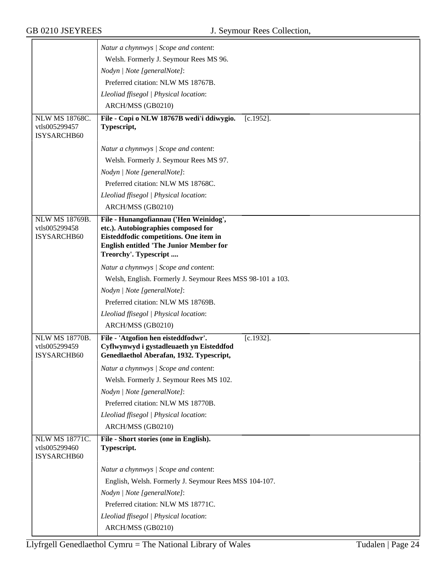|                                                       | Natur a chynnwys / Scope and content:                                                                                                                                                              |
|-------------------------------------------------------|----------------------------------------------------------------------------------------------------------------------------------------------------------------------------------------------------|
|                                                       | Welsh. Formerly J. Seymour Rees MS 96.                                                                                                                                                             |
|                                                       | Nodyn   Note [generalNote]:                                                                                                                                                                        |
|                                                       | Preferred citation: NLW MS 18767B.                                                                                                                                                                 |
|                                                       | Lleoliad ffisegol   Physical location:                                                                                                                                                             |
|                                                       | ARCH/MSS (GB0210)                                                                                                                                                                                  |
| <b>NLW MS 18768C.</b>                                 | File - Copi o NLW 18767B wedi'i ddiwygio.<br>$[c.1952]$ .                                                                                                                                          |
| vtls005299457<br>ISYSARCHB60                          | Typescript,                                                                                                                                                                                        |
|                                                       | Natur a chynnwys / Scope and content:                                                                                                                                                              |
|                                                       | Welsh. Formerly J. Seymour Rees MS 97.                                                                                                                                                             |
|                                                       | Nodyn   Note [generalNote]:                                                                                                                                                                        |
|                                                       | Preferred citation: NLW MS 18768C.                                                                                                                                                                 |
|                                                       | Lleoliad ffisegol   Physical location:                                                                                                                                                             |
|                                                       | ARCH/MSS (GB0210)                                                                                                                                                                                  |
| NLW MS 18769B.<br>vtls005299458<br>ISYSARCHB60        | File - Hunangofiannau ('Hen Weinidog',<br>etc.). Autobiographies composed for<br>Eisteddfodic competitions. One item in<br><b>English entitled 'The Junior Member for</b><br>Treorchy'. Typescript |
|                                                       | Natur a chynnwys / Scope and content:                                                                                                                                                              |
|                                                       | Welsh, English. Formerly J. Seymour Rees MSS 98-101 a 103.                                                                                                                                         |
|                                                       | Nodyn   Note [generalNote]:                                                                                                                                                                        |
|                                                       | Preferred citation: NLW MS 18769B.                                                                                                                                                                 |
|                                                       | Lleoliad ffisegol   Physical location:                                                                                                                                                             |
|                                                       | ARCH/MSS (GB0210)                                                                                                                                                                                  |
| <b>NLW MS 18770B.</b><br>vtls005299459<br>ISYSARCHB60 | $[c.1932]$ .<br>File - 'Atgofion hen eisteddfodwr'.<br>Cyflwynwyd i gystadleuaeth yn Eisteddfod<br>Genedlaethol Aberafan, 1932. Typescript,                                                        |
|                                                       | Natur a chynnwys / Scope and content:                                                                                                                                                              |
|                                                       | Welsh. Formerly J. Seymour Rees MS 102.                                                                                                                                                            |
|                                                       | Nodyn   Note [generalNote]:                                                                                                                                                                        |
|                                                       | Preferred citation: NLW MS 18770B.                                                                                                                                                                 |
|                                                       | Lleoliad ffisegol   Physical location:                                                                                                                                                             |
|                                                       | ARCH/MSS (GB0210)                                                                                                                                                                                  |
| <b>NLW MS 18771C.</b>                                 | File - Short stories (one in English).                                                                                                                                                             |
| vtls005299460<br>ISYSARCHB60                          | Typescript.                                                                                                                                                                                        |
|                                                       | Natur a chynnwys / Scope and content:                                                                                                                                                              |
|                                                       | English, Welsh. Formerly J. Seymour Rees MSS 104-107.                                                                                                                                              |
|                                                       | Nodyn   Note [generalNote]:                                                                                                                                                                        |
|                                                       | Preferred citation: NLW MS 18771C.                                                                                                                                                                 |
|                                                       | Lleoliad ffisegol   Physical location:                                                                                                                                                             |
|                                                       | ARCH/MSS (GB0210)                                                                                                                                                                                  |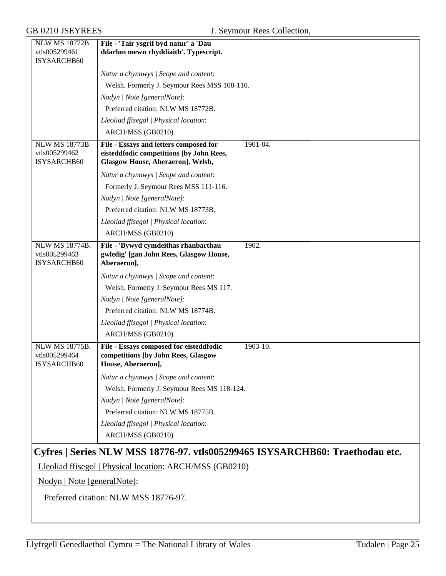<span id="page-24-0"></span>

| <b>NLW MS 18772B.</b>                                    | File - 'Tair ysgrif byd natur' a 'Dau                                                                                               |
|----------------------------------------------------------|-------------------------------------------------------------------------------------------------------------------------------------|
| vtls005299461                                            | ddarlun mewn rhyddiaith'. Typescript.                                                                                               |
| ISYSARCHB60                                              |                                                                                                                                     |
|                                                          | Natur a chynnwys / Scope and content:                                                                                               |
|                                                          | Welsh. Formerly J. Seymour Rees MSS 108-110.                                                                                        |
|                                                          | Nodyn   Note [generalNote]:                                                                                                         |
|                                                          | Preferred citation: NLW MS 18772B.                                                                                                  |
|                                                          | Lleoliad ffisegol   Physical location:                                                                                              |
|                                                          | ARCH/MSS (GB0210)                                                                                                                   |
| <b>NLW MS 18773B.</b><br>vtls005299462<br>ISYSARCHB60    | File - Essays and letters composed for<br>1901-04.<br>eisteddfodic competitions [by John Rees,<br>Glasgow House, Aberaeron]. Welsh, |
|                                                          | Natur a chynnwys / Scope and content:                                                                                               |
|                                                          | Formerly J. Seymour Rees MSS 111-116.                                                                                               |
|                                                          | Nodyn   Note [generalNote]:                                                                                                         |
|                                                          | Preferred citation: NLW MS 18773B.                                                                                                  |
|                                                          | Lleoliad ffisegol   Physical location:                                                                                              |
|                                                          | ARCH/MSS (GB0210)                                                                                                                   |
| <b>NLW MS 18774B.</b><br>vtls005299463<br>ISYSARCHB60    | 1902.<br>File - 'Bywyd cymdeithas rhanbarthau<br>gwledig' [gan John Rees, Glasgow House,<br>Aberaeron],                             |
|                                                          | Natur a chynnwys / Scope and content:                                                                                               |
|                                                          | Welsh. Formerly J. Seymour Rees MS 117.                                                                                             |
|                                                          | Nodyn   Note [generalNote]:                                                                                                         |
|                                                          | Preferred citation: NLW MS 18774B.                                                                                                  |
|                                                          | Lleoliad ffisegol   Physical location:                                                                                              |
|                                                          | ARCH/MSS (GB0210)                                                                                                                   |
| <b>NLW MS 18775B.</b><br>vtls005299464<br>ISYSARCHB60    | File - Essays composed for eisteddfodic<br>1903-10.<br>competitions [by John Rees, Glasgow<br>House, Aberaeron],                    |
|                                                          | Natur a chynnwys / Scope and content:                                                                                               |
|                                                          | Welsh. Formerly J. Seymour Rees MS 118-124.                                                                                         |
|                                                          | Nodyn   Note [generalNote]:                                                                                                         |
|                                                          | Preferred citation: NLW MS 18775B.                                                                                                  |
|                                                          | Lleoliad ffisegol   Physical location:                                                                                              |
|                                                          | ARCH/MSS (GB0210)                                                                                                                   |
|                                                          | Cyfres   Series NLW MSS 18776-97. vtls005299465 ISYSARCHB60: Traethodau etc.                                                        |
| Lleoliad ffisegol   Physical location: ARCH/MSS (GB0210) |                                                                                                                                     |
| Nodyn   Note [generalNote]:                              |                                                                                                                                     |
|                                                          | Preferred citation: NLW MSS 18776-97.                                                                                               |
|                                                          |                                                                                                                                     |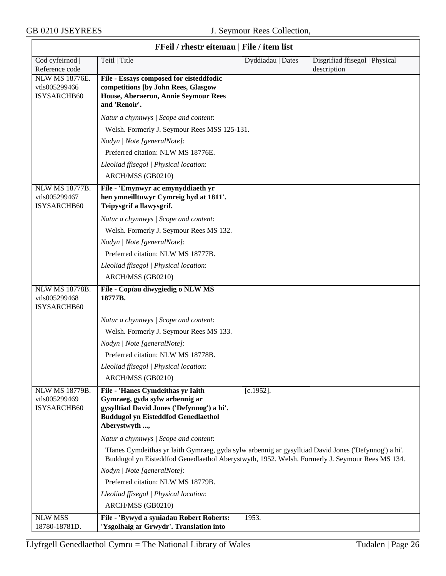$\overline{\phantom{0}}$ 

| FFeil / rhestr eitemau   File / item list             |                                                                                                                                                                                                        |  |  |
|-------------------------------------------------------|--------------------------------------------------------------------------------------------------------------------------------------------------------------------------------------------------------|--|--|
| Cod cyfeirnod  <br>Reference code                     | Teitl   Title<br>Dyddiadau   Dates<br>Disgrifiad ffisegol   Physical<br>description                                                                                                                    |  |  |
| <b>NLW MS 18776E.</b><br>vtls005299466<br>ISYSARCHB60 | File - Essays composed for eisteddfodic<br>competitions [by John Rees, Glasgow<br>House, Aberaeron, Annie Seymour Rees<br>and 'Renoir'.                                                                |  |  |
|                                                       | Natur a chynnwys / Scope and content:                                                                                                                                                                  |  |  |
|                                                       | Welsh. Formerly J. Seymour Rees MSS 125-131.                                                                                                                                                           |  |  |
|                                                       | Nodyn   Note [generalNote]:                                                                                                                                                                            |  |  |
|                                                       | Preferred citation: NLW MS 18776E.                                                                                                                                                                     |  |  |
|                                                       | Lleoliad ffisegol   Physical location:                                                                                                                                                                 |  |  |
|                                                       | ARCH/MSS (GB0210)                                                                                                                                                                                      |  |  |
| <b>NLW MS 18777B.</b><br>vtls005299467<br>ISYSARCHB60 | File - 'Emynwyr ac emynyddiaeth yr<br>hen ymneilltuwyr Cymreig hyd at 1811'.<br>Teipysgrif a llawysgrif.                                                                                               |  |  |
|                                                       | Natur a chynnwys / Scope and content:                                                                                                                                                                  |  |  |
|                                                       | Welsh. Formerly J. Seymour Rees MS 132.                                                                                                                                                                |  |  |
|                                                       | Nodyn   Note [generalNote]:                                                                                                                                                                            |  |  |
|                                                       | Preferred citation: NLW MS 18777B.                                                                                                                                                                     |  |  |
|                                                       | Lleoliad ffisegol   Physical location:                                                                                                                                                                 |  |  |
|                                                       | ARCH/MSS (GB0210)                                                                                                                                                                                      |  |  |
| NLW MS 18778B.<br>vtls005299468<br>ISYSARCHB60        | File - Copïau diwygiedig o NLW MS<br>18777B.                                                                                                                                                           |  |  |
|                                                       | Natur a chynnwys / Scope and content:                                                                                                                                                                  |  |  |
|                                                       | Welsh. Formerly J. Seymour Rees MS 133.                                                                                                                                                                |  |  |
|                                                       | Nodyn   Note [generalNote]:                                                                                                                                                                            |  |  |
|                                                       | Preferred citation: NLW MS 18778B.                                                                                                                                                                     |  |  |
|                                                       | Lleoliad ffisegol   Physical location:                                                                                                                                                                 |  |  |
|                                                       | ARCH/MSS (GB0210)                                                                                                                                                                                      |  |  |
| <b>NLW MS 18779B.</b><br>vtls005299469<br>ISYSARCHB60 | File - 'Hanes Cymdeithas yr Iaith<br>$[c.1952]$ .<br>Gymraeg, gyda sylw arbennig ar<br>gysylltiad David Jones ('Defynnog') a hi'.<br><b>Buddugol yn Eisteddfod Genedlaethol</b><br>Aberystwyth ,       |  |  |
|                                                       | Natur a chynnwys / Scope and content:                                                                                                                                                                  |  |  |
|                                                       | 'Hanes Cymdeithas yr Iaith Gymraeg, gyda sylw arbennig ar gysylltiad David Jones ('Defynnog') a hi'.<br>Buddugol yn Eisteddfod Genedlaethol Aberystwyth, 1952. Welsh. Formerly J. Seymour Rees MS 134. |  |  |
|                                                       | Nodyn   Note [generalNote]:                                                                                                                                                                            |  |  |
|                                                       | Preferred citation: NLW MS 18779B.                                                                                                                                                                     |  |  |
|                                                       | Lleoliad ffisegol   Physical location:                                                                                                                                                                 |  |  |
|                                                       | ARCH/MSS (GB0210)                                                                                                                                                                                      |  |  |
| <b>NLW MSS</b><br>18780-18781D.                       | File - 'Bywyd a syniadau Robert Roberts:<br>1953.<br>'Ysgolhaig ar Grwydr'. Translation into                                                                                                           |  |  |

#### **FFeil / rhestr eitemau | File / item list**

٦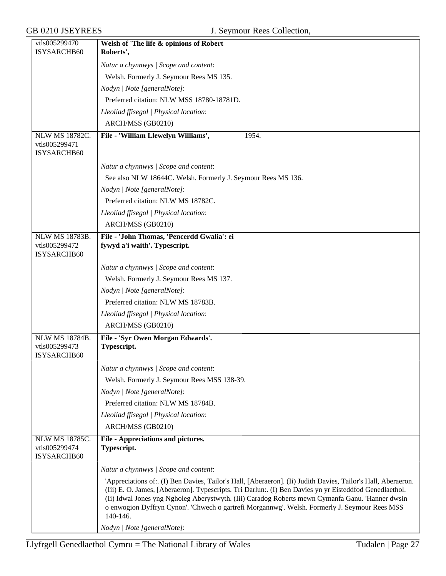| vtls005299470                                         | Welsh of 'The life & opinions of Robert                                                                                                                                                                                                                                                                                                                                                                                                   |  |  |
|-------------------------------------------------------|-------------------------------------------------------------------------------------------------------------------------------------------------------------------------------------------------------------------------------------------------------------------------------------------------------------------------------------------------------------------------------------------------------------------------------------------|--|--|
| ISYSARCHB60                                           | Roberts',                                                                                                                                                                                                                                                                                                                                                                                                                                 |  |  |
|                                                       | Natur a chynnwys / Scope and content:                                                                                                                                                                                                                                                                                                                                                                                                     |  |  |
|                                                       | Welsh. Formerly J. Seymour Rees MS 135.                                                                                                                                                                                                                                                                                                                                                                                                   |  |  |
|                                                       | Nodyn   Note [generalNote]:                                                                                                                                                                                                                                                                                                                                                                                                               |  |  |
|                                                       | Preferred citation: NLW MSS 18780-18781D.                                                                                                                                                                                                                                                                                                                                                                                                 |  |  |
|                                                       | Lleoliad ffisegol   Physical location:                                                                                                                                                                                                                                                                                                                                                                                                    |  |  |
|                                                       | ARCH/MSS (GB0210)                                                                                                                                                                                                                                                                                                                                                                                                                         |  |  |
| NLW MS 18782C.                                        | File - 'William Llewelyn Williams',<br>1954.                                                                                                                                                                                                                                                                                                                                                                                              |  |  |
| vtls005299471                                         |                                                                                                                                                                                                                                                                                                                                                                                                                                           |  |  |
| ISYSARCHB60                                           |                                                                                                                                                                                                                                                                                                                                                                                                                                           |  |  |
|                                                       | Natur a chynnwys / Scope and content:                                                                                                                                                                                                                                                                                                                                                                                                     |  |  |
|                                                       | See also NLW 18644C. Welsh. Formerly J. Seymour Rees MS 136.                                                                                                                                                                                                                                                                                                                                                                              |  |  |
|                                                       | Nodyn   Note [generalNote]:                                                                                                                                                                                                                                                                                                                                                                                                               |  |  |
|                                                       | Preferred citation: NLW MS 18782C.                                                                                                                                                                                                                                                                                                                                                                                                        |  |  |
|                                                       | Lleoliad ffisegol   Physical location:                                                                                                                                                                                                                                                                                                                                                                                                    |  |  |
|                                                       | ARCH/MSS (GB0210)                                                                                                                                                                                                                                                                                                                                                                                                                         |  |  |
| <b>NLW MS 18783B.</b>                                 | File - 'John Thomas, 'Pencerdd Gwalia': ei                                                                                                                                                                                                                                                                                                                                                                                                |  |  |
| vtls005299472                                         | fywyd a'i waith'. Typescript.                                                                                                                                                                                                                                                                                                                                                                                                             |  |  |
| ISYSARCHB60                                           |                                                                                                                                                                                                                                                                                                                                                                                                                                           |  |  |
|                                                       | Natur a chynnwys / Scope and content:                                                                                                                                                                                                                                                                                                                                                                                                     |  |  |
|                                                       | Welsh. Formerly J. Seymour Rees MS 137.                                                                                                                                                                                                                                                                                                                                                                                                   |  |  |
|                                                       | Nodyn   Note [generalNote]:                                                                                                                                                                                                                                                                                                                                                                                                               |  |  |
|                                                       | Preferred citation: NLW MS 18783B.                                                                                                                                                                                                                                                                                                                                                                                                        |  |  |
|                                                       | Lleoliad ffisegol   Physical location:                                                                                                                                                                                                                                                                                                                                                                                                    |  |  |
|                                                       | ARCH/MSS (GB0210)                                                                                                                                                                                                                                                                                                                                                                                                                         |  |  |
| <b>NLW MS 18784B.</b>                                 | File - 'Syr Owen Morgan Edwards'.                                                                                                                                                                                                                                                                                                                                                                                                         |  |  |
| vtls005299473<br>ISYSARCHB60                          | Typescript.                                                                                                                                                                                                                                                                                                                                                                                                                               |  |  |
|                                                       | Natur a chynnwys / Scope and content:                                                                                                                                                                                                                                                                                                                                                                                                     |  |  |
|                                                       | Welsh. Formerly J. Seymour Rees MSS 138-39.                                                                                                                                                                                                                                                                                                                                                                                               |  |  |
|                                                       | Nodyn   Note [generalNote]:                                                                                                                                                                                                                                                                                                                                                                                                               |  |  |
|                                                       | Preferred citation: NLW MS 18784B.                                                                                                                                                                                                                                                                                                                                                                                                        |  |  |
|                                                       | Lleoliad ffisegol   Physical location:                                                                                                                                                                                                                                                                                                                                                                                                    |  |  |
|                                                       | ARCH/MSS (GB0210)                                                                                                                                                                                                                                                                                                                                                                                                                         |  |  |
| <b>NLW MS 18785C.</b><br>vtls005299474<br>ISYSARCHB60 | File - Appreciations and pictures.<br>Typescript.                                                                                                                                                                                                                                                                                                                                                                                         |  |  |
|                                                       | Natur a chynnwys / Scope and content:                                                                                                                                                                                                                                                                                                                                                                                                     |  |  |
|                                                       | 'Appreciations of:. (I) Ben Davies, Tailor's Hall, [Aberaeron]. (Ii) Judith Davies, Tailor's Hall, Aberaeron.<br>(Iii) E. O. James, [Aberaeron]. Typescripts. Tri Darlun:. (I) Ben Davies yn yr Eisteddfod Genedlaethol.<br>(Ii) Idwal Jones yng Ngholeg Aberystwyth. (Iii) Caradog Roberts mewn Cymanfa Ganu. 'Hanner dwsin<br>o enwogion Dyffryn Cynon'. 'Chwech o gartrefi Morgannwg'. Welsh. Formerly J. Seymour Rees MSS<br>140-146. |  |  |
|                                                       | Nodyn   Note [generalNote]:                                                                                                                                                                                                                                                                                                                                                                                                               |  |  |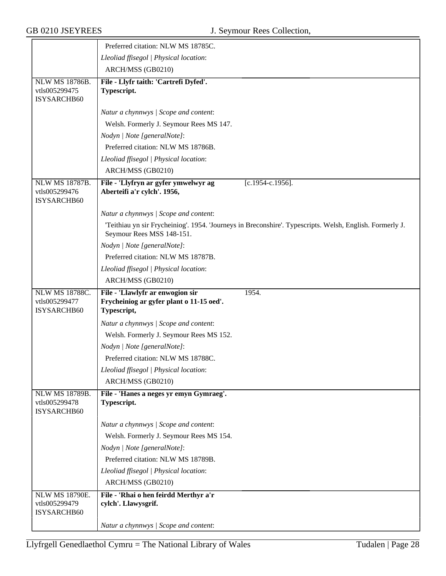|                                                       | Preferred citation: NLW MS 18785C.                                                                                                   |
|-------------------------------------------------------|--------------------------------------------------------------------------------------------------------------------------------------|
|                                                       | Lleoliad ffisegol   Physical location:                                                                                               |
|                                                       | ARCH/MSS (GB0210)                                                                                                                    |
| <b>NLW MS 18786B.</b><br>vtls005299475<br>ISYSARCHB60 | File - Llyfr taith: 'Cartrefi Dyfed'.<br>Typescript.                                                                                 |
|                                                       | Natur a chynnwys / Scope and content:                                                                                                |
|                                                       | Welsh. Formerly J. Seymour Rees MS 147.                                                                                              |
|                                                       | Nodyn   Note [generalNote]:                                                                                                          |
|                                                       | Preferred citation: NLW MS 18786B.                                                                                                   |
|                                                       | Lleoliad ffisegol   Physical location:                                                                                               |
|                                                       | ARCH/MSS (GB0210)                                                                                                                    |
| NLW MS 18787B.<br>vtls005299476<br>ISYSARCHB60        | File - 'Llyfryn ar gyfer ymwelwyr ag<br>$[c.1954-c.1956]$ .<br>Aberteifi a'r cylch'. 1956,                                           |
|                                                       | Natur a chynnwys / Scope and content:                                                                                                |
|                                                       | Teithiau yn sir Frycheiniog'. 1954. 'Journeys in Breconshire'. Typescripts. Welsh, English. Formerly J.<br>Seymour Rees MSS 148-151. |
|                                                       | Nodyn   Note [generalNote]:                                                                                                          |
|                                                       | Preferred citation: NLW MS 18787B.                                                                                                   |
|                                                       | Lleoliad ffisegol   Physical location:                                                                                               |
|                                                       | ARCH/MSS (GB0210)                                                                                                                    |
| <b>NLW MS 18788C.</b><br>vtls005299477<br>ISYSARCHB60 | File - 'Llawlyfr ar enwogion sir<br>1954.<br>Frycheiniog ar gyfer plant o 11-15 oed'.<br>Typescript,                                 |
|                                                       | Natur a chynnwys / Scope and content:                                                                                                |
|                                                       | Welsh. Formerly J. Seymour Rees MS 152.                                                                                              |
|                                                       | Nodyn   Note [generalNote]:                                                                                                          |
|                                                       | Preferred citation: NLW MS 18788C.                                                                                                   |
|                                                       | Lleoliad ffisegol   Physical location:                                                                                               |
|                                                       | ARCH/MSS (GB0210)                                                                                                                    |
| <b>NLW MS 18789B.</b><br>vtls005299478<br>ISYSARCHB60 | File - 'Hanes a neges yr emyn Gymraeg'.<br>Typescript.                                                                               |
|                                                       | Natur a chynnwys / Scope and content:                                                                                                |
|                                                       | Welsh. Formerly J. Seymour Rees MS 154.                                                                                              |
|                                                       | Nodyn   Note [generalNote]:                                                                                                          |
|                                                       | Preferred citation: NLW MS 18789B.                                                                                                   |
|                                                       | Lleoliad ffisegol   Physical location:                                                                                               |
|                                                       | ARCH/MSS (GB0210)                                                                                                                    |
| <b>NLW MS 18790E.</b><br>vtls005299479<br>ISYSARCHB60 | File - 'Rhai o hen feirdd Merthyr a'r<br>cylch'. Llawysgrif.                                                                         |
|                                                       |                                                                                                                                      |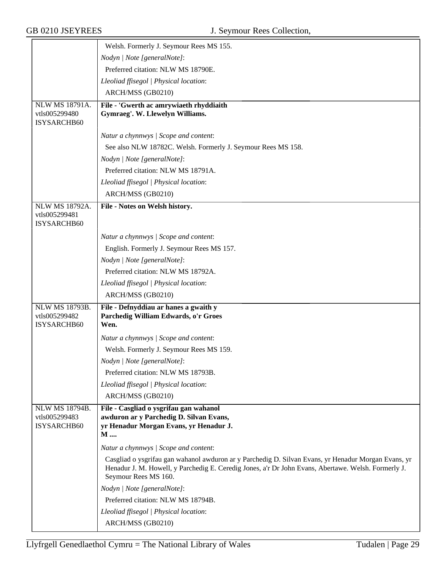|                                                       | Welsh. Formerly J. Seymour Rees MS 155.                                                                                                                                                                                            |  |  |
|-------------------------------------------------------|------------------------------------------------------------------------------------------------------------------------------------------------------------------------------------------------------------------------------------|--|--|
|                                                       | Nodyn   Note [generalNote]:                                                                                                                                                                                                        |  |  |
|                                                       | Preferred citation: NLW MS 18790E.                                                                                                                                                                                                 |  |  |
|                                                       | Lleoliad ffisegol   Physical location:                                                                                                                                                                                             |  |  |
|                                                       | ARCH/MSS (GB0210)                                                                                                                                                                                                                  |  |  |
| NLW MS 18791A.                                        | File - 'Gwerth ac amrywiaeth rhyddiaith                                                                                                                                                                                            |  |  |
| vtls005299480                                         | Gymraeg'. W. Llewelyn Williams.                                                                                                                                                                                                    |  |  |
| ISYSARCHB60                                           |                                                                                                                                                                                                                                    |  |  |
|                                                       | Natur a chynnwys / Scope and content:                                                                                                                                                                                              |  |  |
|                                                       | See also NLW 18782C. Welsh. Formerly J. Seymour Rees MS 158.                                                                                                                                                                       |  |  |
|                                                       | Nodyn   Note [generalNote]:                                                                                                                                                                                                        |  |  |
|                                                       | Preferred citation: NLW MS 18791A.                                                                                                                                                                                                 |  |  |
|                                                       | Lleoliad ffisegol   Physical location:                                                                                                                                                                                             |  |  |
|                                                       | ARCH/MSS (GB0210)                                                                                                                                                                                                                  |  |  |
| <b>NLW MS 18792A.</b><br>vtls005299481<br>ISYSARCHB60 | File - Notes on Welsh history.                                                                                                                                                                                                     |  |  |
|                                                       | Natur a chynnwys / Scope and content:                                                                                                                                                                                              |  |  |
|                                                       | English. Formerly J. Seymour Rees MS 157.                                                                                                                                                                                          |  |  |
|                                                       | Nodyn   Note [generalNote]:                                                                                                                                                                                                        |  |  |
|                                                       | Preferred citation: NLW MS 18792A.                                                                                                                                                                                                 |  |  |
|                                                       | Lleoliad ffisegol   Physical location:                                                                                                                                                                                             |  |  |
|                                                       | ARCH/MSS (GB0210)                                                                                                                                                                                                                  |  |  |
| <b>NLW MS 18793B.</b><br>vtls005299482<br>ISYSARCHB60 | File - Defnyddiau ar hanes a gwaith y<br>Parchedig William Edwards, o'r Groes<br>Wen.                                                                                                                                              |  |  |
|                                                       | Natur a chynnwys / Scope and content:                                                                                                                                                                                              |  |  |
|                                                       | Welsh. Formerly J. Seymour Rees MS 159.                                                                                                                                                                                            |  |  |
|                                                       | Nodyn   Note [generalNote]:                                                                                                                                                                                                        |  |  |
|                                                       | Preferred citation: NLW MS 18793B.                                                                                                                                                                                                 |  |  |
|                                                       | Lleoliad ffisegol   Physical location:                                                                                                                                                                                             |  |  |
|                                                       | ARCH/MSS (GB0210)                                                                                                                                                                                                                  |  |  |
| NLW MS 18794B.<br>vtls005299483<br>ISYSARCHB60        | File - Casgliad o ysgrifau gan wahanol<br>awduron ar y Parchedig D. Silvan Evans,<br>yr Henadur Morgan Evans, yr Henadur J.<br><b>M</b>                                                                                            |  |  |
|                                                       | Natur a chynnwys / Scope and content:                                                                                                                                                                                              |  |  |
|                                                       | Casgliad o ysgrifau gan wahanol awduron ar y Parchedig D. Silvan Evans, yr Henadur Morgan Evans, yr<br>Henadur J. M. Howell, y Parchedig E. Ceredig Jones, a'r Dr John Evans, Abertawe. Welsh. Formerly J.<br>Seymour Rees MS 160. |  |  |
|                                                       | Nodyn   Note [generalNote]:                                                                                                                                                                                                        |  |  |
|                                                       | Preferred citation: NLW MS 18794B.                                                                                                                                                                                                 |  |  |
|                                                       | Lleoliad ffisegol   Physical location:                                                                                                                                                                                             |  |  |
|                                                       | ARCH/MSS (GB0210)                                                                                                                                                                                                                  |  |  |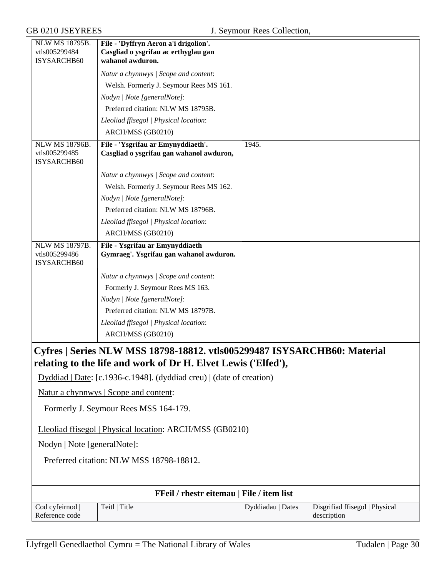<span id="page-29-0"></span>

| <b>NLW MS 18795B.</b>                                                                                                                     | File - 'Dyffryn Aeron a'i drigolion'.                                                   |  |  |
|-------------------------------------------------------------------------------------------------------------------------------------------|-----------------------------------------------------------------------------------------|--|--|
| vtls005299484                                                                                                                             | Casgliad o ysgrifau ac erthyglau gan                                                    |  |  |
| ISYSARCHB60                                                                                                                               | wahanol awduron.                                                                        |  |  |
|                                                                                                                                           | Natur a chynnwys / Scope and content:                                                   |  |  |
|                                                                                                                                           | Welsh. Formerly J. Seymour Rees MS 161.                                                 |  |  |
|                                                                                                                                           | Nodyn   Note [generalNote]:                                                             |  |  |
|                                                                                                                                           | Preferred citation: NLW MS 18795B.                                                      |  |  |
|                                                                                                                                           | Lleoliad ffisegol   Physical location:                                                  |  |  |
|                                                                                                                                           | ARCH/MSS (GB0210)                                                                       |  |  |
| <b>NLW MS 18796B.</b><br>vtls005299485<br>ISYSARCHB60                                                                                     | File - 'Ysgrifau ar Emynyddiaeth'.<br>1945.<br>Casgliad o ysgrifau gan wahanol awduron, |  |  |
|                                                                                                                                           | Natur a chynnwys / Scope and content:                                                   |  |  |
|                                                                                                                                           | Welsh. Formerly J. Seymour Rees MS 162.                                                 |  |  |
|                                                                                                                                           | Nodyn   Note [generalNote]:                                                             |  |  |
|                                                                                                                                           | Preferred citation: NLW MS 18796B.                                                      |  |  |
|                                                                                                                                           | Lleoliad ffisegol   Physical location:                                                  |  |  |
|                                                                                                                                           | ARCH/MSS (GB0210)                                                                       |  |  |
| <b>NLW MS 18797B.</b><br>vtls005299486<br>ISYSARCHB60                                                                                     | File - Ysgrifau ar Emynyddiaeth<br>Gymraeg'. Ysgrifau gan wahanol awduron.              |  |  |
|                                                                                                                                           | Natur a chynnwys / Scope and content:                                                   |  |  |
|                                                                                                                                           | Formerly J. Seymour Rees MS 163.                                                        |  |  |
|                                                                                                                                           | Nodyn   Note [generalNote]:                                                             |  |  |
|                                                                                                                                           | Preferred citation: NLW MS 18797B.                                                      |  |  |
|                                                                                                                                           | Lleoliad ffisegol   Physical location:                                                  |  |  |
|                                                                                                                                           | ARCH/MSS (GB0210)                                                                       |  |  |
| Cyfres   Series NLW MSS 18798-18812. vtls005299487 ISYSARCHB60: Material<br>relating to the life and work of Dr H. Elvet Lewis ('Elfed'), |                                                                                         |  |  |
|                                                                                                                                           | Dyddiad   Date: [c.1936-c.1948]. (dyddiad creu)   (date of creation)                    |  |  |
|                                                                                                                                           | Natur a chynnwys   Scope and content:                                                   |  |  |
| Formerly J. Seymour Rees MSS 164-179.                                                                                                     |                                                                                         |  |  |
| Lleoliad ffisegol   Physical location: ARCH/MSS (GB0210)                                                                                  |                                                                                         |  |  |
| Nodyn   Note [generalNote]:                                                                                                               |                                                                                         |  |  |
| Preferred citation: NLW MSS 18798-18812.                                                                                                  |                                                                                         |  |  |
|                                                                                                                                           |                                                                                         |  |  |
| FFeil / rhestr eitemau   File / item list                                                                                                 |                                                                                         |  |  |
| Cod cyfeirnod<br>Reference code                                                                                                           | Dyddiadau   Dates<br>Teitl   Title<br>Disgrifiad ffisegol   Physical<br>description     |  |  |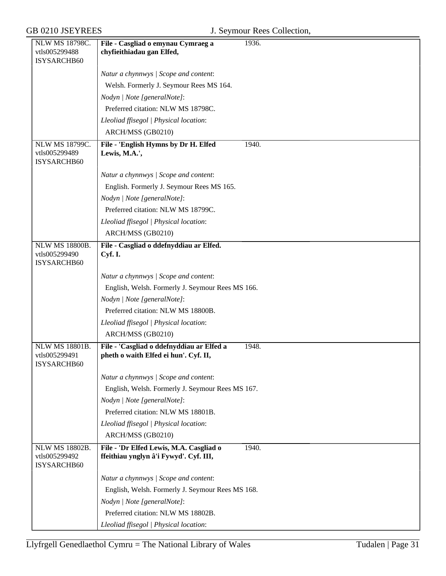| NLW MS 18798C.                                        | File - Casgliad o emynau Cymraeg a                                                 | 1936. |
|-------------------------------------------------------|------------------------------------------------------------------------------------|-------|
| vtls005299488<br>ISYSARCHB60                          | chyfieithiadau gan Elfed,                                                          |       |
|                                                       |                                                                                    |       |
|                                                       | Natur a chynnwys / Scope and content:                                              |       |
|                                                       | Welsh. Formerly J. Seymour Rees MS 164.                                            |       |
|                                                       | Nodyn   Note [generalNote]:                                                        |       |
|                                                       | Preferred citation: NLW MS 18798C.                                                 |       |
|                                                       | Lleoliad ffisegol   Physical location:                                             |       |
|                                                       | ARCH/MSS (GB0210)                                                                  |       |
| <b>NLW MS 18799C.</b><br>vtls005299489<br>ISYSARCHB60 | File - 'English Hymns by Dr H. Elfed<br>Lewis, M.A.',                              | 1940. |
|                                                       | Natur a chynnwys / Scope and content:                                              |       |
|                                                       | English. Formerly J. Seymour Rees MS 165.                                          |       |
|                                                       | Nodyn   Note [generalNote]:                                                        |       |
|                                                       | Preferred citation: NLW MS 18799C.                                                 |       |
|                                                       | Lleoliad ffisegol   Physical location:                                             |       |
|                                                       | ARCH/MSS (GB0210)                                                                  |       |
| <b>NLW MS 18800B.</b><br>vtls005299490<br>ISYSARCHB60 | File - Casgliad o ddefnyddiau ar Elfed.<br>C <sub>Y</sub> f. I.                    |       |
|                                                       | Natur a chynnwys / Scope and content:                                              |       |
|                                                       | English, Welsh. Formerly J. Seymour Rees MS 166.                                   |       |
|                                                       | Nodyn   Note [generalNote]:                                                        |       |
|                                                       | Preferred citation: NLW MS 18800B.                                                 |       |
|                                                       | Lleoliad ffisegol   Physical location:                                             |       |
|                                                       | ARCH/MSS (GB0210)                                                                  |       |
| <b>NLW MS 18801B.</b><br>vtls005299491<br>ISYSARCHB60 | File - 'Casgliad o ddefnyddiau ar Elfed a<br>pheth o waith Elfed ei hun'. Cyf. II, | 1948. |
|                                                       | Natur a chynnwys / Scope and content:                                              |       |
|                                                       | English, Welsh. Formerly J. Seymour Rees MS 167.                                   |       |
|                                                       | Nodyn   Note [generalNote]:                                                        |       |
|                                                       | Preferred citation: NLW MS 18801B.                                                 |       |
|                                                       | Lleoliad ffisegol   Physical location:                                             |       |
|                                                       | ARCH/MSS (GB0210)                                                                  |       |
| <b>NLW MS 18802B.</b><br>vtls005299492<br>ISYSARCHB60 | File - 'Dr Elfed Lewis, M.A. Casgliad o<br>ffeithiau ynglyn â'i Fywyd'. Cyf. III,  | 1940. |
|                                                       | Natur a chynnwys / Scope and content:                                              |       |
|                                                       | English, Welsh. Formerly J. Seymour Rees MS 168.                                   |       |
|                                                       | Nodyn   Note [generalNote]:                                                        |       |
|                                                       | Preferred citation: NLW MS 18802B.                                                 |       |
|                                                       | Lleoliad ffisegol   Physical location:                                             |       |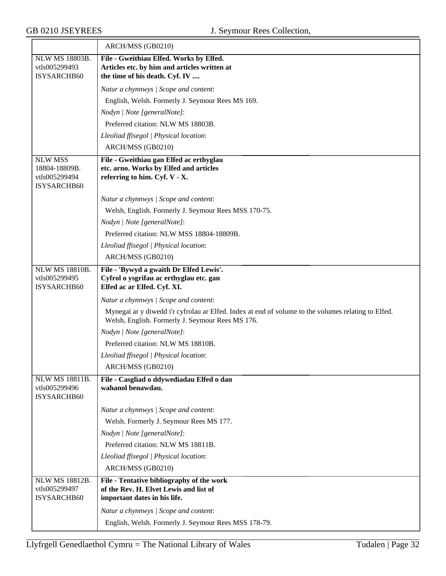|                              | ARCH/MSS (GB0210)                                                                                   |  |  |
|------------------------------|-----------------------------------------------------------------------------------------------------|--|--|
| NLW MS 18803B.               | File - Gweithiau Elfed. Works by Elfed.                                                             |  |  |
| vtls005299493<br>ISYSARCHB60 | Articles etc. by him and articles written at<br>the time of his death. Cyf. IV                      |  |  |
|                              | Natur a chynnwys / Scope and content:                                                               |  |  |
|                              | English, Welsh. Formerly J. Seymour Rees MS 169.                                                    |  |  |
|                              | Nodyn   Note [generalNote]:                                                                         |  |  |
|                              | Preferred citation: NLW MS 18803B.                                                                  |  |  |
|                              | Lleoliad ffisegol   Physical location:                                                              |  |  |
|                              | ARCH/MSS (GB0210)                                                                                   |  |  |
| <b>NLW MSS</b>               | File - Gweithiau gan Elfed ac erthyglau                                                             |  |  |
| 18804-18809B.                | etc. arno. Works by Elfed and articles                                                              |  |  |
| vtls005299494                | referring to him. Cyf. V - X.                                                                       |  |  |
| ISYSARCHB60                  |                                                                                                     |  |  |
|                              | Natur a chynnwys / Scope and content:                                                               |  |  |
|                              | Welsh, English. Formerly J. Seymour Rees MSS 170-75.                                                |  |  |
|                              | Nodyn   Note [generalNote]:                                                                         |  |  |
|                              | Preferred citation: NLW MSS 18804-18809B.                                                           |  |  |
|                              | Lleoliad ffisegol   Physical location:                                                              |  |  |
|                              | ARCH/MSS (GB0210)                                                                                   |  |  |
| <b>NLW MS 18810B.</b>        | File - 'Bywyd a gwaith Dr Elfed Lewis'.                                                             |  |  |
| vtls005299495<br>ISYSARCHB60 | Cyfrol o ysgrifau ac erthyglau etc. gan<br>Elfed ac ar Elfed. Cyf. XI.                              |  |  |
|                              | Natur a chynnwys / Scope and content:                                                               |  |  |
|                              | Mynegai ar y diwedd i'r cyfrolau ar Elfed. Index at end of volume to the volumes relating to Elfed. |  |  |
|                              | Welsh, English. Formerly J. Seymour Rees MS 176.                                                    |  |  |
|                              | Nodyn   Note [generalNote]:                                                                         |  |  |
|                              | Preferred citation: NLW MS 18810B.                                                                  |  |  |
|                              | Lleoliad ffisegol   Physical location:                                                              |  |  |
|                              | ARCH/MSS (GB0210)                                                                                   |  |  |
| NLW MS 18811B.               | File - Casgliad o ddywediadau Elfed o dan                                                           |  |  |
| vtls005299496<br>ISYSARCHB60 | wahanol benawdau.                                                                                   |  |  |
|                              | Natur a chynnwys / Scope and content:                                                               |  |  |
|                              | Welsh. Formerly J. Seymour Rees MS 177.                                                             |  |  |
|                              | Nodyn   Note [generalNote]:                                                                         |  |  |
|                              | Preferred citation: NLW MS 18811B.                                                                  |  |  |
|                              | Lleoliad ffisegol   Physical location:                                                              |  |  |
|                              | ARCH/MSS (GB0210)                                                                                   |  |  |
| <b>NLW MS 18812B.</b>        | File - Tentative bibliography of the work                                                           |  |  |
| vtls005299497                | of the Rev. H. Elvet Lewis and list of                                                              |  |  |
| ISYSARCHB60                  | important dates in his life.                                                                        |  |  |
|                              | Natur a chynnwys / Scope and content:                                                               |  |  |
|                              | English, Welsh. Formerly J. Seymour Rees MSS 178-79.                                                |  |  |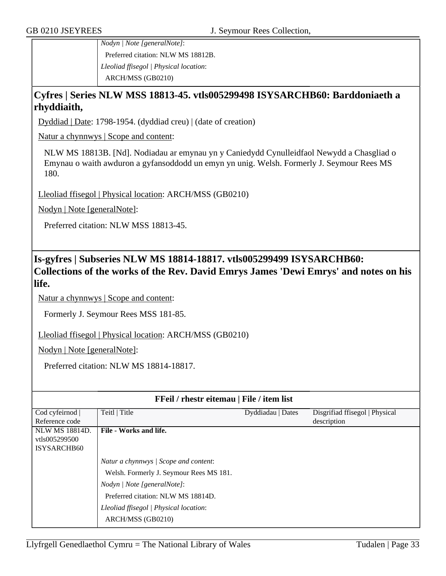*Nodyn | Note [generalNote]*: Preferred citation: NLW MS 18812B. *Lleoliad ffisegol | Physical location*: ARCH/MSS (GB0210)

### <span id="page-32-0"></span>**Cyfres | Series NLW MSS 18813-45. vtls005299498 ISYSARCHB60: Barddoniaeth a rhyddiaith,**

Dyddiad | Date: 1798-1954. (dyddiad creu) | (date of creation)

Natur a chynnwys | Scope and content:

NLW MS 18813B. [Nd]. Nodiadau ar emynau yn y Caniedydd Cynulleidfaol Newydd a Chasgliad o Emynau o waith awduron a gyfansoddodd un emyn yn unig. Welsh. Formerly J. Seymour Rees MS 180.

Lleoliad ffisegol | Physical location: ARCH/MSS (GB0210)

Nodyn | Note [generalNote]:

Preferred citation: NLW MSS 18813-45.

<span id="page-32-1"></span>**Is-gyfres | Subseries NLW MS 18814-18817. vtls005299499 ISYSARCHB60: Collections of the works of the Rev. David Emrys James 'Dewi Emrys' and notes on his life.**

Natur a chynnwys | Scope and content:

Formerly J. Seymour Rees MSS 181-85.

Lleoliad ffisegol | Physical location: ARCH/MSS (GB0210)

Nodyn | Note [generalNote]:

Preferred citation: NLW MS 18814-18817.

| FFeil / rhestr eitemau   File / item list |                   |                                |  |
|-------------------------------------------|-------------------|--------------------------------|--|
| Teitl   Title                             | Dyddiadau   Dates | Disgrifiad ffisegol   Physical |  |
|                                           |                   | description                    |  |
| File - Works and life.                    |                   |                                |  |
|                                           |                   |                                |  |
|                                           |                   |                                |  |
| Natur a chynnwys / Scope and content:     |                   |                                |  |
| Welsh. Formerly J. Seymour Rees MS 181.   |                   |                                |  |
| Nodyn   Note [generalNote]:               |                   |                                |  |
| Preferred citation: NLW MS 18814D.        |                   |                                |  |
| Lleoliad ffisegol   Physical location:    |                   |                                |  |
| ARCH/MSS (GB0210)                         |                   |                                |  |
|                                           |                   |                                |  |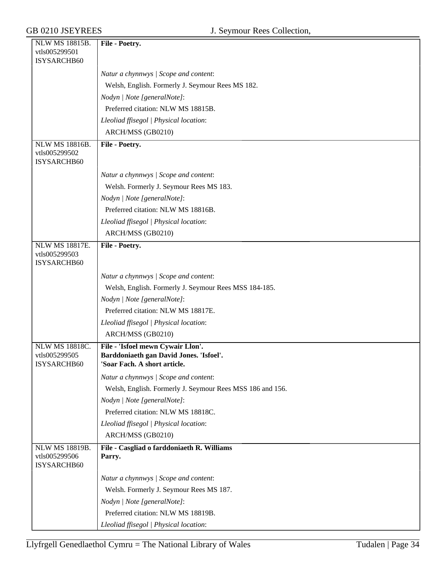| NLW MS 18815B.                                        | File - Poetry.                                            |
|-------------------------------------------------------|-----------------------------------------------------------|
| vtls005299501                                         |                                                           |
| ISYSARCHB60                                           |                                                           |
|                                                       | Natur a chynnwys / Scope and content:                     |
|                                                       | Welsh, English. Formerly J. Seymour Rees MS 182.          |
|                                                       | Nodyn   Note [generalNote]:                               |
|                                                       | Preferred citation: NLW MS 18815B.                        |
|                                                       | Lleoliad ffisegol   Physical location:                    |
|                                                       | ARCH/MSS (GB0210)                                         |
| <b>NLW MS 18816B.</b><br>vtls005299502<br>ISYSARCHB60 | File - Poetry.                                            |
|                                                       |                                                           |
|                                                       | Natur a chynnwys / Scope and content:                     |
|                                                       | Welsh. Formerly J. Seymour Rees MS 183.                   |
|                                                       | Nodyn   Note [generalNote]:                               |
|                                                       | Preferred citation: NLW MS 18816B.                        |
|                                                       | Lleoliad ffisegol   Physical location:                    |
|                                                       | ARCH/MSS (GB0210)                                         |
| <b>NLW MS 18817E.</b><br>vtls005299503<br>ISYSARCHB60 | File - Poetry.                                            |
|                                                       | Natur a chynnwys / Scope and content:                     |
|                                                       | Welsh, English. Formerly J. Seymour Rees MSS 184-185.     |
|                                                       | Nodyn   Note [generalNote]:                               |
|                                                       | Preferred citation: NLW MS 18817E.                        |
|                                                       | Lleoliad ffisegol   Physical location:                    |
|                                                       | ARCH/MSS (GB0210)                                         |
| <b>NLW MS 18818C.</b>                                 | File - 'Isfoel mewn Cywair Llon'.                         |
| vtls005299505                                         | Barddoniaeth gan David Jones. 'Isfoel'.                   |
| ISYSARCHB60                                           | 'Soar Fach. A short article.                              |
|                                                       | Natur a chynnwys / Scope and content:                     |
|                                                       | Welsh, English. Formerly J. Seymour Rees MSS 186 and 156. |
|                                                       | Nodyn   Note [generalNote]:                               |
|                                                       | Preferred citation: NLW MS 18818C.                        |
|                                                       | Lleoliad ffisegol   Physical location:                    |
|                                                       | ARCH/MSS (GB0210)                                         |
| NLW MS 18819B.<br>vtls005299506<br>ISYSARCHB60        | File - Casgliad o farddoniaeth R. Williams<br>Parry.      |
|                                                       | Natur a chynnwys / Scope and content:                     |
|                                                       | Welsh. Formerly J. Seymour Rees MS 187.                   |
|                                                       | Nodyn   Note [generalNote]:                               |
|                                                       | Preferred citation: NLW MS 18819B.                        |
|                                                       | Lleoliad ffisegol   Physical location:                    |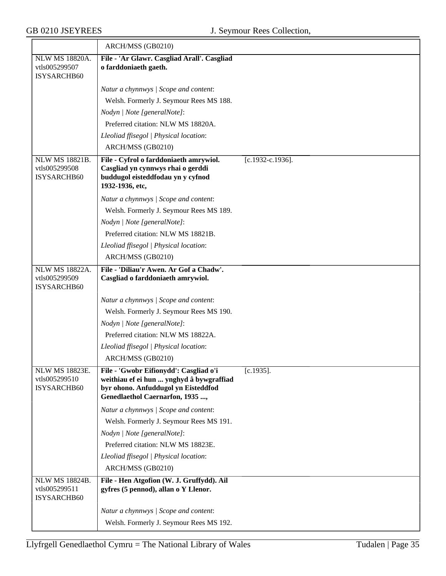|                                                       | ARCH/MSS (GB0210)                                                                                                                                            |                  |
|-------------------------------------------------------|--------------------------------------------------------------------------------------------------------------------------------------------------------------|------------------|
| <b>NLW MS 18820A.</b><br>vtls005299507<br>ISYSARCHB60 | File - 'Ar Glawr. Casgliad Arall'. Casgliad<br>o farddoniaeth gaeth.                                                                                         |                  |
|                                                       | Natur a chynnwys / Scope and content:                                                                                                                        |                  |
|                                                       | Welsh. Formerly J. Seymour Rees MS 188.                                                                                                                      |                  |
|                                                       | Nodyn   Note [generalNote]:                                                                                                                                  |                  |
|                                                       | Preferred citation: NLW MS 18820A.                                                                                                                           |                  |
|                                                       | Lleoliad ffisegol   Physical location:                                                                                                                       |                  |
|                                                       | ARCH/MSS (GB0210)                                                                                                                                            |                  |
| <b>NLW MS 18821B.</b><br>vtls005299508<br>ISYSARCHB60 | File - Cyfrol o farddoniaeth amrywiol.<br>Casgliad yn cynnwys rhai o gerddi<br>buddugol eisteddfodau yn y cyfnod<br>1932-1936, etc,                          | [c.1932-c.1936]. |
|                                                       | Natur a chynnwys / Scope and content:                                                                                                                        |                  |
|                                                       | Welsh. Formerly J. Seymour Rees MS 189.                                                                                                                      |                  |
|                                                       | Nodyn   Note [generalNote]:                                                                                                                                  |                  |
|                                                       | Preferred citation: NLW MS 18821B.                                                                                                                           |                  |
|                                                       | Lleoliad ffisegol   Physical location:                                                                                                                       |                  |
|                                                       | ARCH/MSS (GB0210)                                                                                                                                            |                  |
| <b>NLW MS 18822A.</b><br>vtls005299509<br>ISYSARCHB60 | File - 'Diliau'r Awen. Ar Gof a Chadw'.<br>Casgliad o farddoniaeth amrywiol.                                                                                 |                  |
|                                                       | Natur a chynnwys / Scope and content:                                                                                                                        |                  |
|                                                       | Welsh. Formerly J. Seymour Rees MS 190.                                                                                                                      |                  |
|                                                       | Nodyn   Note [generalNote]:                                                                                                                                  |                  |
|                                                       | Preferred citation: NLW MS 18822A.                                                                                                                           |                  |
|                                                       | Lleoliad ffisegol   Physical location:                                                                                                                       |                  |
|                                                       | ARCH/MSS (GB0210)                                                                                                                                            |                  |
| NLW MS 18823E.<br>vtls005299510<br>ISYSARCHB60        | File - 'Gwobr Eifionydd': Casgliad o'i<br>weithiau ef ei hun  ynghyd â bywgraffiad<br>byr ohono. Anfuddugol yn Eisteddfod<br>Genedlaethol Caernarfon, 1935 , | $[c.1935]$ .     |
|                                                       | Natur a chynnwys / Scope and content:                                                                                                                        |                  |
|                                                       | Welsh. Formerly J. Seymour Rees MS 191.                                                                                                                      |                  |
|                                                       | Nodyn   Note [generalNote]:                                                                                                                                  |                  |
|                                                       | Preferred citation: NLW MS 18823E.                                                                                                                           |                  |
|                                                       | Lleoliad ffisegol   Physical location:                                                                                                                       |                  |
|                                                       | ARCH/MSS (GB0210)                                                                                                                                            |                  |
| <b>NLW MS 18824B.</b><br>vtls005299511<br>ISYSARCHB60 | File - Hen Atgofion (W. J. Gruffydd). Ail<br>gyfres (5 pennod), allan o Y Llenor.                                                                            |                  |
|                                                       | Natur a chynnwys / Scope and content:                                                                                                                        |                  |
|                                                       | Welsh. Formerly J. Seymour Rees MS 192.                                                                                                                      |                  |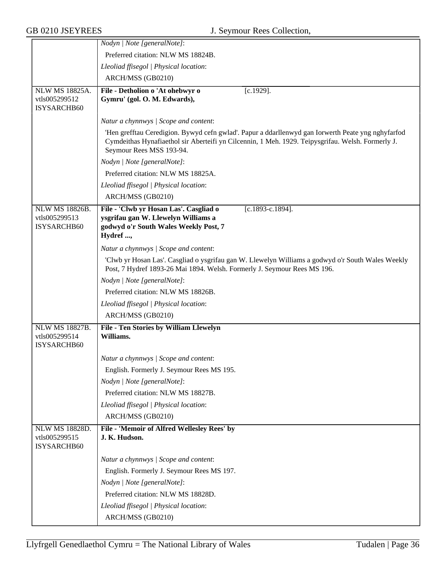|                                                       | Nodyn   Note [generalNote]:                                                                                                                                                                                                         |
|-------------------------------------------------------|-------------------------------------------------------------------------------------------------------------------------------------------------------------------------------------------------------------------------------------|
|                                                       | Preferred citation: NLW MS 18824B.                                                                                                                                                                                                  |
|                                                       | Lleoliad ffisegol   Physical location:                                                                                                                                                                                              |
|                                                       | ARCH/MSS (GB0210)                                                                                                                                                                                                                   |
| <b>NLW MS 18825A.</b><br>vtls005299512<br>ISYSARCHB60 | File - Detholion o 'At ohebwyr o<br>$[c.1929]$ .<br>Gymru' (gol. O. M. Edwards),                                                                                                                                                    |
|                                                       | Natur a chynnwys / Scope and content:                                                                                                                                                                                               |
|                                                       | 'Hen grefftau Ceredigion. Bywyd cefn gwlad'. Papur a ddarllenwyd gan Iorwerth Peate yng nghyfarfod<br>Cymdeithas Hynafiaethol sir Aberteifi yn Cilcennin, 1 Meh. 1929. Teipysgrifau. Welsh. Formerly J.<br>Seymour Rees MSS 193-94. |
|                                                       | Nodyn   Note [generalNote]:                                                                                                                                                                                                         |
|                                                       | Preferred citation: NLW MS 18825A.                                                                                                                                                                                                  |
|                                                       | Lleoliad ffisegol   Physical location:                                                                                                                                                                                              |
|                                                       | ARCH/MSS (GB0210)                                                                                                                                                                                                                   |
| <b>NLW MS 18826B.</b><br>vtls005299513<br>ISYSARCHB60 | File - 'Clwb yr Hosan Las'. Casgliad o<br>$[c.1893-c.1894]$ .<br>ysgrifau gan W. Llewelyn Williams a<br>godwyd o'r South Wales Weekly Post, 7<br>Hydref ,                                                                           |
|                                                       | Natur a chynnwys / Scope and content:                                                                                                                                                                                               |
|                                                       | 'Clwb yr Hosan Las'. Casgliad o ysgrifau gan W. Llewelyn Williams a godwyd o'r South Wales Weekly<br>Post, 7 Hydref 1893-26 Mai 1894. Welsh. Formerly J. Seymour Rees MS 196.                                                       |
|                                                       | Nodyn   Note [generalNote]:                                                                                                                                                                                                         |
|                                                       | Preferred citation: NLW MS 18826B.                                                                                                                                                                                                  |
|                                                       | Lleoliad ffisegol   Physical location:                                                                                                                                                                                              |
|                                                       | ARCH/MSS (GB0210)                                                                                                                                                                                                                   |
| <b>NLW MS 18827B.</b><br>vtls005299514<br>ISYSARCHB60 | File - Ten Stories by William Llewelyn<br>Williams.                                                                                                                                                                                 |
|                                                       | Natur a chynnwys / Scope and content:                                                                                                                                                                                               |
|                                                       | English. Formerly J. Seymour Rees MS 195.                                                                                                                                                                                           |
|                                                       | Nodyn   Note [generalNote]:                                                                                                                                                                                                         |
|                                                       | Preferred citation: NLW MS 18827B.                                                                                                                                                                                                  |
|                                                       | Lleoliad ffisegol   Physical location:                                                                                                                                                                                              |
|                                                       | ARCH/MSS (GB0210)                                                                                                                                                                                                                   |
| NLW MS 18828D.<br>vtls005299515<br>ISYSARCHB60        | File - 'Memoir of Alfred Wellesley Rees' by<br>J. K. Hudson.                                                                                                                                                                        |
|                                                       | Natur a chynnwys / Scope and content:                                                                                                                                                                                               |
|                                                       | English. Formerly J. Seymour Rees MS 197.                                                                                                                                                                                           |
|                                                       | Nodyn   Note [generalNote]:                                                                                                                                                                                                         |
|                                                       | Preferred citation: NLW MS 18828D.                                                                                                                                                                                                  |
|                                                       | Lleoliad ffisegol   Physical location:                                                                                                                                                                                              |
|                                                       | ARCH/MSS (GB0210)                                                                                                                                                                                                                   |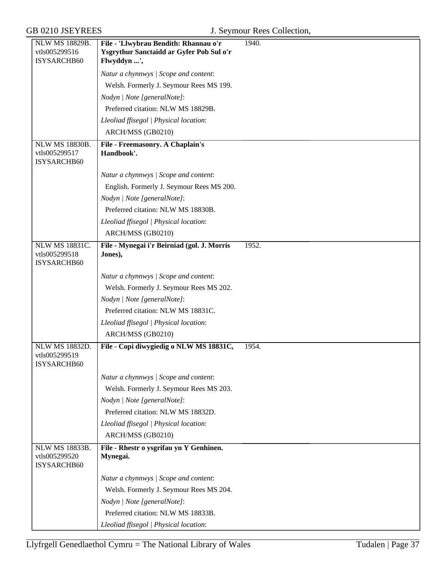| NLW MS 18829B.<br>vtls005299516                       | File - 'Llwybrau Bendith: Rhannau o'r<br>Ysgrythur Sanctaidd ar Gyfer Pob Sul o'r | 1940. |
|-------------------------------------------------------|-----------------------------------------------------------------------------------|-------|
| ISYSARCHB60                                           | Flwyddyn ',                                                                       |       |
|                                                       | Natur a chynnwys / Scope and content:                                             |       |
|                                                       | Welsh. Formerly J. Seymour Rees MS 199.                                           |       |
|                                                       | Nodyn   Note [generalNote]:                                                       |       |
|                                                       | Preferred citation: NLW MS 18829B.                                                |       |
|                                                       | Lleoliad ffisegol   Physical location:                                            |       |
|                                                       | ARCH/MSS (GB0210)                                                                 |       |
| <b>NLW MS 18830B.</b>                                 | File - Freemasonry. A Chaplain's                                                  |       |
| vtls005299517<br>ISYSARCHB60                          | Handbook'.                                                                        |       |
|                                                       | Natur a chynnwys / Scope and content:                                             |       |
|                                                       | English. Formerly J. Seymour Rees MS 200.                                         |       |
|                                                       | Nodyn   Note [generalNote]:                                                       |       |
|                                                       | Preferred citation: NLW MS 18830B.                                                |       |
|                                                       | Lleoliad ffisegol   Physical location:                                            |       |
|                                                       | ARCH/MSS (GB0210)                                                                 |       |
| <b>NLW MS 18831C.</b><br>vtls005299518<br>ISYSARCHB60 | File - Mynegai i'r Beirniad (gol. J. Morris<br>Jones),                            | 1952. |
|                                                       | Natur a chynnwys / Scope and content:                                             |       |
|                                                       | Welsh. Formerly J. Seymour Rees MS 202.                                           |       |
|                                                       | Nodyn   Note [generalNote]:                                                       |       |
|                                                       | Preferred citation: NLW MS 18831C.                                                |       |
|                                                       | Lleoliad ffisegol   Physical location:                                            |       |
|                                                       | ARCH/MSS (GB0210)                                                                 |       |
| NLW MS 18832D.<br>vtls005299519<br>ISYSARCHB60        | File - Copi diwygiedig o NLW MS 18831C,                                           | 1954. |
|                                                       | Natur a chynnwys / Scope and content:                                             |       |
|                                                       | Welsh. Formerly J. Seymour Rees MS 203.                                           |       |
|                                                       | Nodyn   Note [generalNote]:                                                       |       |
|                                                       | Preferred citation: NLW MS 18832D.                                                |       |
|                                                       | Lleoliad ffisegol   Physical location:                                            |       |
|                                                       | ARCH/MSS (GB0210)                                                                 |       |
| NLW MS 18833B.<br>vtls005299520<br>ISYSARCHB60        | File - Rhestr o ysgrifau yn Y Genhinen.<br>Mynegai.                               |       |
|                                                       | Natur a chynnwys / Scope and content:                                             |       |
|                                                       | Welsh. Formerly J. Seymour Rees MS 204.                                           |       |
|                                                       | Nodyn   Note [generalNote]:                                                       |       |
|                                                       | Preferred citation: NLW MS 18833B.                                                |       |
|                                                       | Lleoliad ffisegol   Physical location:                                            |       |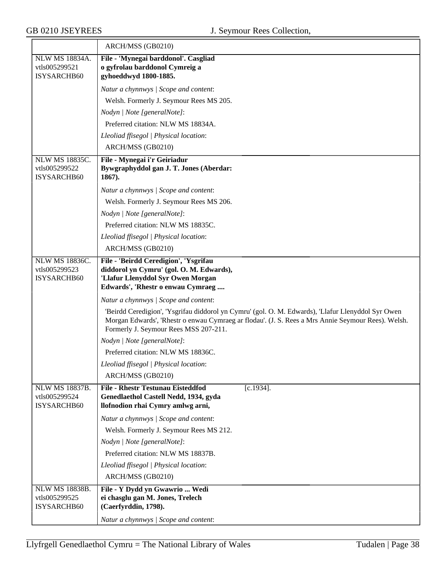|                                                       | ARCH/MSS (GB0210)                                                                                                                                                                                                                                 |  |  |
|-------------------------------------------------------|---------------------------------------------------------------------------------------------------------------------------------------------------------------------------------------------------------------------------------------------------|--|--|
| NLW MS 18834A.<br>vtls005299521<br>ISYSARCHB60        | File - 'Mynegai barddonol'. Casgliad<br>o gyfrolau barddonol Cymreig a<br>gyhoeddwyd 1800-1885.                                                                                                                                                   |  |  |
|                                                       | Natur a chynnwys / Scope and content:                                                                                                                                                                                                             |  |  |
|                                                       | Welsh. Formerly J. Seymour Rees MS 205.                                                                                                                                                                                                           |  |  |
|                                                       | Nodyn   Note [generalNote]:                                                                                                                                                                                                                       |  |  |
|                                                       | Preferred citation: NLW MS 18834A.                                                                                                                                                                                                                |  |  |
|                                                       | Lleoliad ffisegol   Physical location:                                                                                                                                                                                                            |  |  |
|                                                       | ARCH/MSS (GB0210)                                                                                                                                                                                                                                 |  |  |
| <b>NLW MS 18835C.</b><br>vtls005299522<br>ISYSARCHB60 | File - Mynegai i'r Geiriadur<br>Bywgraphyddol gan J. T. Jones (Aberdar:<br>1867).                                                                                                                                                                 |  |  |
|                                                       | Natur a chynnwys / Scope and content:                                                                                                                                                                                                             |  |  |
|                                                       | Welsh. Formerly J. Seymour Rees MS 206.                                                                                                                                                                                                           |  |  |
|                                                       | Nodyn   Note [generalNote]:                                                                                                                                                                                                                       |  |  |
|                                                       | Preferred citation: NLW MS 18835C.                                                                                                                                                                                                                |  |  |
|                                                       | Lleoliad ffisegol   Physical location:                                                                                                                                                                                                            |  |  |
|                                                       | ARCH/MSS (GB0210)                                                                                                                                                                                                                                 |  |  |
| <b>NLW MS 18836C.</b><br>vtls005299523<br>ISYSARCHB60 | File - 'Beirdd Ceredigion', 'Ysgrifau<br>diddorol yn Cymru' (gol. O. M. Edwards),<br>'Llafur Llenyddol Syr Owen Morgan<br>Edwards', 'Rhestr o enwau Cymraeg                                                                                       |  |  |
|                                                       | Natur a chynnwys / Scope and content:                                                                                                                                                                                                             |  |  |
|                                                       | 'Beirdd Ceredigion', 'Ysgrifau diddorol yn Cymru' (gol. O. M. Edwards), 'Llafur Llenyddol Syr Owen<br>Morgan Edwards', 'Rhestr o enwau Cymraeg ar flodau'. (J. S. Rees a Mrs Annie Seymour Rees). Welsh.<br>Formerly J. Seymour Rees MSS 207-211. |  |  |
|                                                       | Nodyn   Note [generalNote]:                                                                                                                                                                                                                       |  |  |
|                                                       | Preferred citation: NLW MS 18836C.                                                                                                                                                                                                                |  |  |
|                                                       | Lleoliad ffisegol   Physical location:                                                                                                                                                                                                            |  |  |
|                                                       | ARCH/MSS (GB0210)                                                                                                                                                                                                                                 |  |  |
| NLW MS 18837B.<br>vtls005299524<br>ISYSARCHB60        | <b>File - Rhestr Testunau Eisteddfod</b><br>$[c.1934]$ .<br>Genedlaethol Castell Nedd, 1934, gyda<br>llofnodion rhai Cymry amlwg arni,                                                                                                            |  |  |
|                                                       | Natur a chynnwys / Scope and content:                                                                                                                                                                                                             |  |  |
|                                                       | Welsh. Formerly J. Seymour Rees MS 212.                                                                                                                                                                                                           |  |  |
|                                                       | Nodyn   Note [generalNote]:                                                                                                                                                                                                                       |  |  |
|                                                       | Preferred citation: NLW MS 18837B.                                                                                                                                                                                                                |  |  |
|                                                       | Lleoliad ffisegol   Physical location:                                                                                                                                                                                                            |  |  |
|                                                       | ARCH/MSS (GB0210)                                                                                                                                                                                                                                 |  |  |
| <b>NLW MS 18838B.</b><br>vtls005299525<br>ISYSARCHB60 | File - Y Dydd yn Gwawrio  Wedi<br>ei chasglu gan M. Jones, Trelech<br>(Caerfyrddin, 1798).                                                                                                                                                        |  |  |
|                                                       | Natur a chynnwys / Scope and content:                                                                                                                                                                                                             |  |  |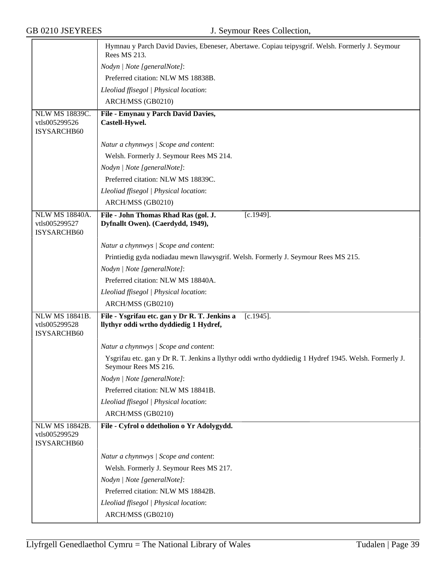|                                                | Hymnau y Parch David Davies, Ebeneser, Abertawe. Copiau teipysgrif. Welsh. Formerly J. Seymour<br>Rees MS 213.                |
|------------------------------------------------|-------------------------------------------------------------------------------------------------------------------------------|
|                                                | Nodyn   Note [generalNote]:                                                                                                   |
|                                                | Preferred citation: NLW MS 18838B.                                                                                            |
|                                                | Lleoliad ffisegol   Physical location:                                                                                        |
|                                                | ARCH/MSS (GB0210)                                                                                                             |
| NLW MS 18839C.                                 | File - Emynau y Parch David Davies,                                                                                           |
| vtls005299526<br>ISYSARCHB60                   | Castell-Hywel.                                                                                                                |
|                                                | Natur a chynnwys / Scope and content:                                                                                         |
|                                                | Welsh. Formerly J. Seymour Rees MS 214.                                                                                       |
|                                                | Nodyn   Note [generalNote]:                                                                                                   |
|                                                | Preferred citation: NLW MS 18839C.                                                                                            |
|                                                | Lleoliad ffisegol   Physical location:                                                                                        |
|                                                | ARCH/MSS (GB0210)                                                                                                             |
| <b>NLW MS 18840A.</b>                          | File - John Thomas Rhad Ras (gol. J.<br>$[c.1949]$ .                                                                          |
| vtls005299527<br>ISYSARCHB60                   | Dyfnallt Owen). (Caerdydd, 1949),                                                                                             |
|                                                | Natur a chynnwys / Scope and content:                                                                                         |
|                                                | Printiedig gyda nodiadau mewn llawysgrif. Welsh. Formerly J. Seymour Rees MS 215.                                             |
|                                                | Nodyn   Note [generalNote]:                                                                                                   |
|                                                | Preferred citation: NLW MS 18840A.                                                                                            |
|                                                | Lleoliad ffisegol   Physical location:                                                                                        |
|                                                | ARCH/MSS (GB0210)                                                                                                             |
| <b>NLW MS 18841B.</b>                          | File - Ysgrifau etc. gan y Dr R. T. Jenkins a<br>$[c.1945]$ .                                                                 |
| vtls005299528<br>ISYSARCHB60                   | llythyr oddi wrtho dyddiedig 1 Hydref,                                                                                        |
|                                                | Natur a chynnwys / Scope and content:                                                                                         |
|                                                | Ysgrifau etc. gan y Dr R. T. Jenkins a llythyr oddi wrtho dyddiedig 1 Hydref 1945. Welsh. Formerly J.<br>Seymour Rees MS 216. |
|                                                | Nodyn   Note [generalNote]:                                                                                                   |
|                                                | Preferred citation: NLW MS 18841B.                                                                                            |
|                                                | Lleoliad ffisegol   Physical location:                                                                                        |
|                                                | ARCH/MSS (GB0210)                                                                                                             |
| NLW MS 18842B.<br>vtls005299529<br>ISYSARCHB60 | File - Cyfrol o ddetholion o Yr Adolygydd.                                                                                    |
|                                                | Natur a chynnwys / Scope and content:                                                                                         |
|                                                | Welsh. Formerly J. Seymour Rees MS 217.                                                                                       |
|                                                | Nodyn   Note [generalNote]:                                                                                                   |
|                                                | Preferred citation: NLW MS 18842B.                                                                                            |
|                                                | Lleoliad ffisegol   Physical location:                                                                                        |
|                                                | ARCH/MSS (GB0210)                                                                                                             |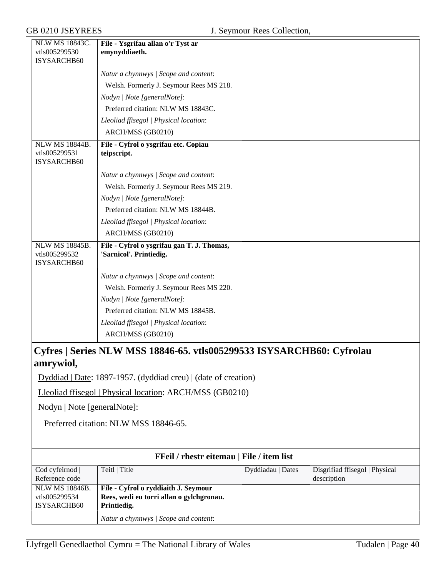| NLW MS 18843C.<br>vtls005299530                                                    | File - Ysgrifau allan o'r Tyst ar<br>emynyddiaeth.                               |  |                                |
|------------------------------------------------------------------------------------|----------------------------------------------------------------------------------|--|--------------------------------|
| ISYSARCHB60                                                                        |                                                                                  |  |                                |
|                                                                                    | Natur a chynnwys / Scope and content:                                            |  |                                |
|                                                                                    | Welsh. Formerly J. Seymour Rees MS 218.                                          |  |                                |
|                                                                                    | Nodyn   Note [generalNote]:                                                      |  |                                |
|                                                                                    | Preferred citation: NLW MS 18843C.                                               |  |                                |
|                                                                                    | Lleoliad ffisegol   Physical location:                                           |  |                                |
|                                                                                    | ARCH/MSS (GB0210)                                                                |  |                                |
| <b>NLW MS 18844B.</b><br>vtls005299531                                             | File - Cyfrol o ysgrifau etc. Copiau<br>teipscript.                              |  |                                |
| ISYSARCHB60                                                                        |                                                                                  |  |                                |
|                                                                                    | Natur a chynnwys / Scope and content:                                            |  |                                |
|                                                                                    | Welsh. Formerly J. Seymour Rees MS 219.                                          |  |                                |
|                                                                                    | Nodyn   Note [generalNote]:                                                      |  |                                |
|                                                                                    | Preferred citation: NLW MS 18844B.                                               |  |                                |
|                                                                                    | Lleoliad ffisegol   Physical location:                                           |  |                                |
|                                                                                    | ARCH/MSS (GB0210)                                                                |  |                                |
| <b>NLW MS 18845B.</b><br>vtls005299532<br>ISYSARCHB60                              | File - Cyfrol o ysgrifau gan T. J. Thomas,<br>'Sarnicol'. Printiedig.            |  |                                |
|                                                                                    | Natur a chynnwys / Scope and content:                                            |  |                                |
|                                                                                    | Welsh. Formerly J. Seymour Rees MS 220.                                          |  |                                |
|                                                                                    | Nodyn   Note [generalNote]:                                                      |  |                                |
|                                                                                    | Preferred citation: NLW MS 18845B.                                               |  |                                |
|                                                                                    | Lleoliad ffisegol   Physical location:                                           |  |                                |
|                                                                                    | ARCH/MSS (GB0210)                                                                |  |                                |
| Cyfres   Series NLW MSS 18846-65. vtls005299533 ISYSARCHB60: Cyfrolau<br>amrywiol, |                                                                                  |  |                                |
|                                                                                    | Dyddiad   Date: 1897-1957. (dyddiad creu)   (date of creation)                   |  |                                |
|                                                                                    | Lleoliad ffisegol   Physical location: ARCH/MSS (GB0210)                         |  |                                |
| Nodyn   Note [generalNote]:                                                        |                                                                                  |  |                                |
|                                                                                    | Preferred citation: NLW MSS 18846-65.                                            |  |                                |
|                                                                                    |                                                                                  |  |                                |
|                                                                                    | FFeil / rhestr eitemau   File / item list                                        |  |                                |
| Cod cyfeirnod                                                                      | Teitl   Title<br>Dyddiadau   Dates                                               |  | Disgrifiad ffisegol   Physical |
| Reference code                                                                     |                                                                                  |  | description                    |
| <b>NLW MS 18846B.</b><br>vtls005299534                                             | File - Cyfrol o ryddiaith J. Seymour<br>Rees, wedi eu torri allan o gylchgronau. |  |                                |
|                                                                                    |                                                                                  |  |                                |

*Natur a chynnwys | Scope and content*:

**Printiedig.**

<span id="page-39-0"></span>ISYSARCHB60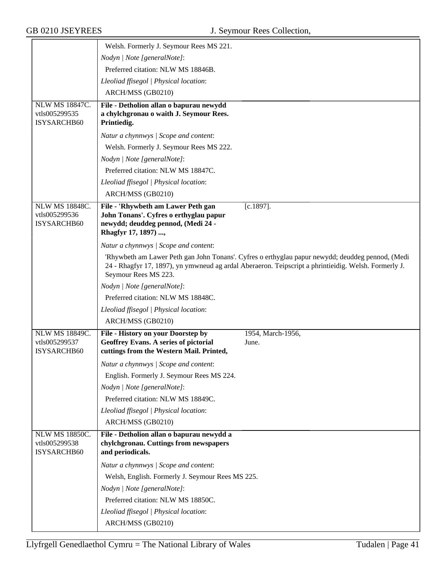|                                                       | Welsh. Formerly J. Seymour Rees MS 221.                                                                                                   |                                                                                                                                                                                                          |
|-------------------------------------------------------|-------------------------------------------------------------------------------------------------------------------------------------------|----------------------------------------------------------------------------------------------------------------------------------------------------------------------------------------------------------|
|                                                       | Nodyn   Note [generalNote]:                                                                                                               |                                                                                                                                                                                                          |
|                                                       | Preferred citation: NLW MS 18846B.                                                                                                        |                                                                                                                                                                                                          |
|                                                       | Lleoliad ffisegol   Physical location:                                                                                                    |                                                                                                                                                                                                          |
|                                                       | ARCH/MSS (GB0210)                                                                                                                         |                                                                                                                                                                                                          |
| NLW MS 18847C.                                        | File - Detholion allan o bapurau newydd                                                                                                   |                                                                                                                                                                                                          |
| vtls005299535                                         | a chylchgronau o waith J. Seymour Rees.                                                                                                   |                                                                                                                                                                                                          |
| ISYSARCHB60                                           | Printiedig.                                                                                                                               |                                                                                                                                                                                                          |
|                                                       | Natur a chynnwys / Scope and content:                                                                                                     |                                                                                                                                                                                                          |
|                                                       | Welsh. Formerly J. Seymour Rees MS 222.                                                                                                   |                                                                                                                                                                                                          |
|                                                       | Nodyn   Note [generalNote]:                                                                                                               |                                                                                                                                                                                                          |
|                                                       | Preferred citation: NLW MS 18847C.                                                                                                        |                                                                                                                                                                                                          |
|                                                       | Lleoliad ffisegol   Physical location:                                                                                                    |                                                                                                                                                                                                          |
|                                                       | ARCH/MSS (GB0210)                                                                                                                         |                                                                                                                                                                                                          |
| <b>NLW MS 18848C.</b><br>vtls005299536<br>ISYSARCHB60 | File - 'Rhywbeth am Lawer Peth gan<br>John Tonans'. Cyfres o erthyglau papur<br>newydd; deuddeg pennod, (Medi 24 -<br>Rhagfyr 17, 1897) , | $[c.1897]$ .                                                                                                                                                                                             |
|                                                       | Natur a chynnwys / Scope and content:                                                                                                     |                                                                                                                                                                                                          |
|                                                       | Seymour Rees MS 223.                                                                                                                      | 'Rhywbeth am Lawer Peth gan John Tonans'. Cyfres o erthyglau papur newydd; deuddeg pennod, (Medi<br>24 - Rhagfyr 17, 1897), yn ymwneud ag ardal Aberaeron. Teipscript a phrintieidig. Welsh. Formerly J. |
|                                                       | Nodyn   Note [generalNote]:                                                                                                               |                                                                                                                                                                                                          |
|                                                       | Preferred citation: NLW MS 18848C.                                                                                                        |                                                                                                                                                                                                          |
|                                                       | Lleoliad ffisegol   Physical location:                                                                                                    |                                                                                                                                                                                                          |
|                                                       | ARCH/MSS (GB0210)                                                                                                                         |                                                                                                                                                                                                          |
| NLW MS 18849C.<br>vtls005299537<br>ISYSARCHB60        | File - History on your Doorstep by<br><b>Geoffrey Evans. A series of pictorial</b><br>cuttings from the Western Mail. Printed,            | 1954, March-1956,<br>June.                                                                                                                                                                               |
|                                                       | Natur a chynnwys / Scope and content:                                                                                                     |                                                                                                                                                                                                          |
|                                                       | English. Formerly J. Seymour Rees MS 224.                                                                                                 |                                                                                                                                                                                                          |
|                                                       | Nodyn   Note [generalNote]:                                                                                                               |                                                                                                                                                                                                          |
|                                                       | Preferred citation: NLW MS 18849C.                                                                                                        |                                                                                                                                                                                                          |
|                                                       | Lleoliad ffisegol   Physical location:                                                                                                    |                                                                                                                                                                                                          |
|                                                       | ARCH/MSS (GB0210)                                                                                                                         |                                                                                                                                                                                                          |
| NLW MS 18850C.<br>vtls005299538<br>ISYSARCHB60        | File - Detholion allan o bapurau newydd a<br>chylchgronau. Cuttings from newspapers<br>and periodicals.                                   |                                                                                                                                                                                                          |
|                                                       | Natur a chynnwys / Scope and content:                                                                                                     |                                                                                                                                                                                                          |
|                                                       | Welsh, English. Formerly J. Seymour Rees MS 225.                                                                                          |                                                                                                                                                                                                          |
|                                                       | Nodyn   Note [generalNote]:                                                                                                               |                                                                                                                                                                                                          |
|                                                       | Preferred citation: NLW MS 18850C.                                                                                                        |                                                                                                                                                                                                          |
|                                                       | Lleoliad ffisegol   Physical location:                                                                                                    |                                                                                                                                                                                                          |
|                                                       | ARCH/MSS (GB0210)                                                                                                                         |                                                                                                                                                                                                          |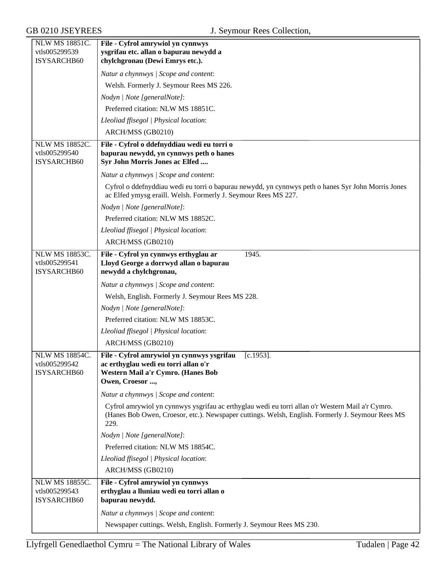| NLW MS 18851C.                                        | File - Cyfrol amrywiol yn cynnwys                                                                                                                                                                            |  |  |
|-------------------------------------------------------|--------------------------------------------------------------------------------------------------------------------------------------------------------------------------------------------------------------|--|--|
| vtls005299539<br>ISYSARCHB60                          | ysgrifau etc. allan o bapurau newydd a<br>chylchgronau (Dewi Emrys etc.).                                                                                                                                    |  |  |
|                                                       |                                                                                                                                                                                                              |  |  |
|                                                       | Natur a chynnwys / Scope and content:                                                                                                                                                                        |  |  |
|                                                       | Welsh. Formerly J. Seymour Rees MS 226.                                                                                                                                                                      |  |  |
|                                                       | Nodyn   Note [generalNote]:                                                                                                                                                                                  |  |  |
|                                                       | Preferred citation: NLW MS 18851C.                                                                                                                                                                           |  |  |
|                                                       | Lleoliad ffisegol   Physical location:                                                                                                                                                                       |  |  |
|                                                       | ARCH/MSS (GB0210)                                                                                                                                                                                            |  |  |
| NLW MS 18852C.<br>vtls005299540<br>ISYSARCHB60        | File - Cyfrol o ddefnyddiau wedi eu torri o<br>bapurau newydd, yn cynnwys peth o hanes<br>Syr John Morris Jones ac Elfed                                                                                     |  |  |
|                                                       | Natur a chynnwys / Scope and content:                                                                                                                                                                        |  |  |
|                                                       | Cyfrol o ddefnyddiau wedi eu torri o bapurau newydd, yn cynnwys peth o hanes Syr John Morris Jones<br>ac Elfed ymysg eraill. Welsh. Formerly J. Seymour Rees MS 227.                                         |  |  |
|                                                       | Nodyn   Note [generalNote]:                                                                                                                                                                                  |  |  |
|                                                       | Preferred citation: NLW MS 18852C.                                                                                                                                                                           |  |  |
|                                                       | Lleoliad ffisegol   Physical location:                                                                                                                                                                       |  |  |
|                                                       | ARCH/MSS (GB0210)                                                                                                                                                                                            |  |  |
| <b>NLW MS 18853C.</b><br>vtls005299541<br>ISYSARCHB60 | 1945.<br>File - Cyfrol yn cynnwys erthyglau ar<br>Lloyd George a dorrwyd allan o bapurau<br>newydd a chylchgronau,                                                                                           |  |  |
|                                                       | Natur a chynnwys / Scope and content:                                                                                                                                                                        |  |  |
|                                                       | Welsh, English. Formerly J. Seymour Rees MS 228.                                                                                                                                                             |  |  |
|                                                       | Nodyn   Note [generalNote]:                                                                                                                                                                                  |  |  |
|                                                       | Preferred citation: NLW MS 18853C.                                                                                                                                                                           |  |  |
|                                                       | Lleoliad ffisegol   Physical location:                                                                                                                                                                       |  |  |
|                                                       | ARCH/MSS (GB0210)                                                                                                                                                                                            |  |  |
| NLW MS 18854C.<br>vtls005299542<br>ISYSARCHB60        | File - Cyfrol amrywiol yn cynnwys ysgrifau<br>$[c.1953]$ .<br>ac erthyglau wedi eu torri allan o'r<br>Western Mail a'r Cymro. (Hanes Bob<br>Owen, Croesor ,                                                  |  |  |
|                                                       | Natur a chynnwys / Scope and content:                                                                                                                                                                        |  |  |
|                                                       | Cyfrol amrywiol yn cynnwys ysgrifau ac erthyglau wedi eu torri allan o'r Western Mail a'r Cymro.<br>(Hanes Bob Owen, Croesor, etc.). Newspaper cuttings. Welsh, English. Formerly J. Seymour Rees MS<br>229. |  |  |
|                                                       | Nodyn   Note [generalNote]:                                                                                                                                                                                  |  |  |
|                                                       | Preferred citation: NLW MS 18854C.                                                                                                                                                                           |  |  |
|                                                       | Lleoliad ffisegol   Physical location:                                                                                                                                                                       |  |  |
|                                                       | ARCH/MSS (GB0210)                                                                                                                                                                                            |  |  |
| NLW MS 18855C.<br>vtls005299543<br>ISYSARCHB60        | File - Cyfrol amrywiol yn cynnwys<br>erthyglau a lluniau wedi eu torri allan o<br>bapurau newydd.                                                                                                            |  |  |
|                                                       | Natur a chynnwys / Scope and content:                                                                                                                                                                        |  |  |
|                                                       | Newspaper cuttings. Welsh, English. Formerly J. Seymour Rees MS 230.                                                                                                                                         |  |  |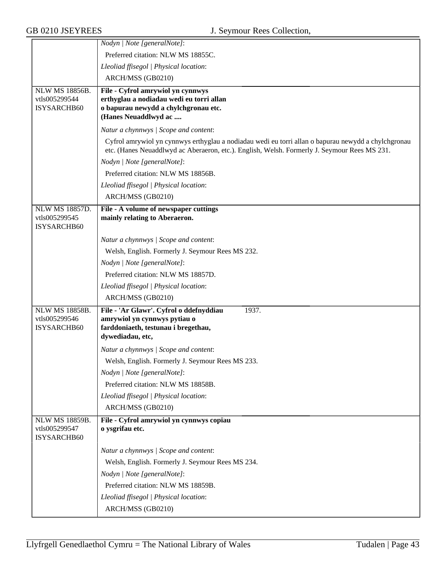|                                                       | Nodyn   Note [generalNote]:                                                                                                                                                                         |
|-------------------------------------------------------|-----------------------------------------------------------------------------------------------------------------------------------------------------------------------------------------------------|
|                                                       | Preferred citation: NLW MS 18855C.                                                                                                                                                                  |
|                                                       | Lleoliad ffisegol   Physical location:                                                                                                                                                              |
|                                                       | ARCH/MSS (GB0210)                                                                                                                                                                                   |
| <b>NLW MS 18856B.</b><br>vtls005299544                | File - Cyfrol amrywiol yn cynnwys<br>erthyglau a nodiadau wedi eu torri allan                                                                                                                       |
| ISYSARCHB60                                           | o bapurau newydd a chylchgronau etc.                                                                                                                                                                |
|                                                       | (Hanes Neuaddlwyd ac                                                                                                                                                                                |
|                                                       | Natur a chynnwys / Scope and content:                                                                                                                                                               |
|                                                       | Cyfrol amrywiol yn cynnwys erthyglau a nodiadau wedi eu torri allan o bapurau newydd a chylchgronau<br>etc. (Hanes Neuaddlwyd ac Aberaeron, etc.). English, Welsh. Formerly J. Seymour Rees MS 231. |
|                                                       | Nodyn   Note [generalNote]:                                                                                                                                                                         |
|                                                       | Preferred citation: NLW MS 18856B.                                                                                                                                                                  |
|                                                       | Lleoliad ffisegol   Physical location:                                                                                                                                                              |
|                                                       | ARCH/MSS (GB0210)                                                                                                                                                                                   |
| <b>NLW MS 18857D.</b><br>vtls005299545<br>ISYSARCHB60 | File - A volume of newspaper cuttings<br>mainly relating to Aberaeron.                                                                                                                              |
|                                                       | Natur a chynnwys / Scope and content:                                                                                                                                                               |
|                                                       | Welsh, English. Formerly J. Seymour Rees MS 232.                                                                                                                                                    |
|                                                       | Nodyn   Note [generalNote]:                                                                                                                                                                         |
|                                                       | Preferred citation: NLW MS 18857D.                                                                                                                                                                  |
|                                                       | Lleoliad ffisegol   Physical location:                                                                                                                                                              |
|                                                       | ARCH/MSS (GB0210)                                                                                                                                                                                   |
| <b>NLW MS 18858B.</b><br>vtls005299546<br>ISYSARCHB60 | File - 'Ar Glawr'. Cyfrol o ddefnyddiau<br>1937.<br>amrywiol yn cynnwys pytiau o<br>farddoniaeth, testunau i bregethau,<br>dywediadau, etc,                                                         |
|                                                       | Natur a chynnwys / Scope and content:                                                                                                                                                               |
|                                                       | Welsh, English. Formerly J. Seymour Rees MS 233.                                                                                                                                                    |
|                                                       | Nodyn   Note [generalNote]:                                                                                                                                                                         |
|                                                       | Preferred citation: NLW MS 18858B.                                                                                                                                                                  |
|                                                       | Lleoliad ffisegol   Physical location:                                                                                                                                                              |
|                                                       | ARCH/MSS (GB0210)                                                                                                                                                                                   |
| NLW MS 18859B.<br>vtls005299547<br>ISYSARCHB60        | File - Cyfrol amrywiol yn cynnwys copïau<br>o ysgrifau etc.                                                                                                                                         |
|                                                       | Natur a chynnwys / Scope and content:                                                                                                                                                               |
|                                                       | Welsh, English. Formerly J. Seymour Rees MS 234.                                                                                                                                                    |
|                                                       | Nodyn   Note [generalNote]:                                                                                                                                                                         |
|                                                       | Preferred citation: NLW MS 18859B.                                                                                                                                                                  |
|                                                       | Lleoliad ffisegol   Physical location:                                                                                                                                                              |
|                                                       | ARCH/MSS (GB0210)                                                                                                                                                                                   |
|                                                       |                                                                                                                                                                                                     |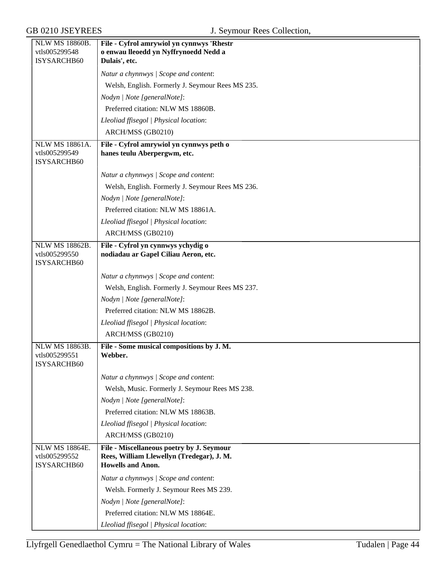| <b>NLW MS 18860B.</b>                  | File - Cyfrol amrywiol yn cynnwys 'Rhestr                                |
|----------------------------------------|--------------------------------------------------------------------------|
| vtls005299548<br>ISYSARCHB60           | o enwau lleoedd yn Nyffrynoedd Nedd a                                    |
|                                        | Dulais', etc.                                                            |
|                                        | Natur a chynnwys / Scope and content:                                    |
|                                        | Welsh, English. Formerly J. Seymour Rees MS 235.                         |
|                                        | Nodyn   Note [generalNote]:                                              |
|                                        | Preferred citation: NLW MS 18860B.                                       |
|                                        | Lleoliad ffisegol   Physical location:                                   |
|                                        | ARCH/MSS (GB0210)                                                        |
| <b>NLW MS 18861A.</b><br>vtls005299549 | File - Cyfrol amrywiol yn cynnwys peth o<br>hanes teulu Aberpergwm, etc. |
| ISYSARCHB60                            |                                                                          |
|                                        | Natur a chynnwys / Scope and content:                                    |
|                                        | Welsh, English. Formerly J. Seymour Rees MS 236.                         |
|                                        | Nodyn   Note [generalNote]:                                              |
|                                        | Preferred citation: NLW MS 18861A.                                       |
|                                        | Lleoliad ffisegol   Physical location:                                   |
|                                        | ARCH/MSS (GB0210)                                                        |
| <b>NLW MS 18862B.</b>                  | File - Cyfrol yn cynnwys ychydig o                                       |
| vtls005299550<br>ISYSARCHB60           | nodiadau ar Gapel Ciliau Aeron, etc.                                     |
|                                        | Natur a chynnwys / Scope and content:                                    |
|                                        | Welsh, English. Formerly J. Seymour Rees MS 237.                         |
|                                        | Nodyn   Note [generalNote]:                                              |
|                                        | Preferred citation: NLW MS 18862B.                                       |
|                                        | Lleoliad ffisegol   Physical location:                                   |
|                                        | ARCH/MSS (GB0210)                                                        |
| <b>NLW MS 18863B.</b><br>vtls005299551 | File - Some musical compositions by J. M.<br>Webber.                     |
| ISYSARCHB60                            |                                                                          |
|                                        | Natur a chynnwys / Scope and content:                                    |
|                                        | Welsh, Music. Formerly J. Seymour Rees MS 238.                           |
|                                        | Nodyn   Note [generalNote]:                                              |
|                                        | Preferred citation: NLW MS 18863B.                                       |
|                                        | Lleoliad ffisegol   Physical location:                                   |
|                                        | ARCH/MSS (GB0210)                                                        |
| <b>NLW MS 18864E.</b>                  | File - Miscellaneous poetry by J. Seymour                                |
| vtls005299552<br>ISYSARCHB60           | Rees, William Llewellyn (Tredegar), J. M.<br><b>Howells and Anon.</b>    |
|                                        | Natur a chynnwys / Scope and content:                                    |
|                                        | Welsh. Formerly J. Seymour Rees MS 239.                                  |
|                                        | Nodyn   Note [generalNote]:                                              |
|                                        | Preferred citation: NLW MS 18864E.                                       |
|                                        | Lleoliad ffisegol   Physical location:                                   |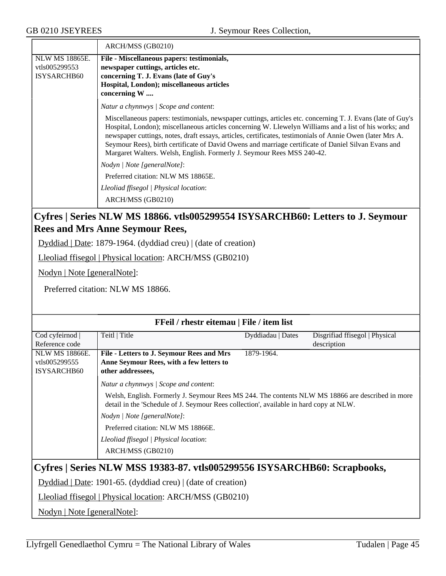|                                                              | ARCH/MSS (GB0210)                                                                                                                                                                                                                                                                                                                                                                                                                                                                                                   |
|--------------------------------------------------------------|---------------------------------------------------------------------------------------------------------------------------------------------------------------------------------------------------------------------------------------------------------------------------------------------------------------------------------------------------------------------------------------------------------------------------------------------------------------------------------------------------------------------|
| <b>NLW MS 18865E.</b><br>vtls005299553<br><b>ISYSARCHB60</b> | File - Miscellaneous papers: testimonials,<br>newspaper cuttings, articles etc.<br>concerning T. J. Evans (late of Guy's<br>Hospital, London); miscellaneous articles<br>concerning W                                                                                                                                                                                                                                                                                                                               |
|                                                              | Natur a chynnwys / Scope and content:                                                                                                                                                                                                                                                                                                                                                                                                                                                                               |
|                                                              | Miscellaneous papers: testimonials, newspaper cuttings, articles etc. concerning T. J. Evans (late of Guy's<br>Hospital, London); miscellaneous articles concerning W. Llewelyn Williams and a list of his works; and<br>newspaper cuttings, notes, draft essays, articles, certificates, testimonials of Annie Owen (later Mrs A.<br>Seymour Rees), birth certificate of David Owens and marriage certificate of Daniel Silvan Evans and<br>Margaret Walters. Welsh, English. Formerly J. Seymour Rees MSS 240-42. |
|                                                              | Nodyn / Note [generalNote]:                                                                                                                                                                                                                                                                                                                                                                                                                                                                                         |
|                                                              | Preferred citation: NLW MS 18865E.                                                                                                                                                                                                                                                                                                                                                                                                                                                                                  |
|                                                              | Lleoliad ffisegol   Physical location:<br>ARCH/MSS (GB0210)                                                                                                                                                                                                                                                                                                                                                                                                                                                         |

#### <span id="page-44-0"></span>**Cyfres | Series NLW MS 18866. vtls005299554 ISYSARCHB60: Letters to J. Seymour Rees and Mrs Anne Seymour Rees,**

Dyddiad | Date: 1879-1964. (dyddiad creu) | (date of creation)

Lleoliad ffisegol | Physical location: ARCH/MSS (GB0210)

Nodyn | Note [generalNote]:

Preferred citation: NLW MS 18866.

| FFeil / rhestr eitemau   File / item list                                |                                                                                                                                                                                            |                   |                                |
|--------------------------------------------------------------------------|--------------------------------------------------------------------------------------------------------------------------------------------------------------------------------------------|-------------------|--------------------------------|
| Cod cyfeirnod                                                            | Teitl   Title                                                                                                                                                                              | Dyddiadau   Dates | Disgrifiad ffisegol   Physical |
| Reference code                                                           |                                                                                                                                                                                            |                   | description                    |
| <b>NLW MS 18866E.</b>                                                    | File - Letters to J. Seymour Rees and Mrs                                                                                                                                                  | 1879-1964.        |                                |
| vtls005299555                                                            | Anne Seymour Rees, with a few letters to                                                                                                                                                   |                   |                                |
| <b>ISYSARCHB60</b>                                                       | other addressees,                                                                                                                                                                          |                   |                                |
|                                                                          | Natur a chynnwys / Scope and content:                                                                                                                                                      |                   |                                |
|                                                                          | Welsh, English. Formerly J. Seymour Rees MS 244. The contents NLW MS 18866 are described in more<br>detail in the 'Schedule of J. Seymour Rees collection', available in hard copy at NLW. |                   |                                |
|                                                                          | Nodyn / Note [generalNote]:                                                                                                                                                                |                   |                                |
|                                                                          | Preferred citation: NLW MS 18866E.                                                                                                                                                         |                   |                                |
|                                                                          | Lleoliad ffisegol   Physical location:                                                                                                                                                     |                   |                                |
|                                                                          | ARCH/MSS (GB0210)                                                                                                                                                                          |                   |                                |
| Cyfres   Series NLW MSS 19383-87. vtls005299556 ISYSARCHB60: Scrapbooks, |                                                                                                                                                                                            |                   |                                |
| Dyddiad   Date: 1901-65. (dyddiad creu)   (date of creation)             |                                                                                                                                                                                            |                   |                                |
|                                                                          | Lleoliad ffisegol   Physical location: ARCH/MSS (GB0210)                                                                                                                                   |                   |                                |

<span id="page-44-1"></span>Nodyn | Note [generalNote]: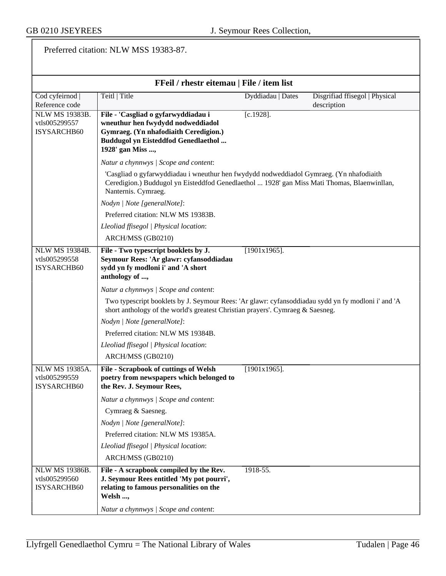Preferred citation: NLW MSS 19383-87.

| FFeil / rhestr eitemau   File / item list                    |                                                                                                                                                                                                               |                   |                                               |
|--------------------------------------------------------------|---------------------------------------------------------------------------------------------------------------------------------------------------------------------------------------------------------------|-------------------|-----------------------------------------------|
| Cod cyfeirnod  <br>Reference code                            | Teitl   Title                                                                                                                                                                                                 | Dyddiadau   Dates | Disgrifiad ffisegol   Physical<br>description |
| <b>NLW MS 19383B.</b><br>vtls005299557<br>ISYSARCHB60        | File - 'Casgliad o gyfarwyddiadau i<br>wneuthur hen fwydydd nodweddiadol<br>Gymraeg. (Yn nhafodiaith Ceredigion.)<br>Buddugol yn Eisteddfod Genedlaethol<br>1928' gan Miss ,                                  | $[c.1928]$ .      |                                               |
|                                                              | Natur a chynnwys / Scope and content:                                                                                                                                                                         |                   |                                               |
|                                                              | 'Casgliad o gyfarwyddiadau i wneuthur hen fwydydd nodweddiadol Gymraeg. (Yn nhafodiaith<br>Ceredigion.) Buddugol yn Eisteddfod Genedlaethol  1928' gan Miss Mati Thomas, Blaenwinllan,<br>Nanternis. Cymraeg. |                   |                                               |
|                                                              | Nodyn   Note [generalNote]:                                                                                                                                                                                   |                   |                                               |
|                                                              | Preferred citation: NLW MS 19383B.                                                                                                                                                                            |                   |                                               |
|                                                              | Lleoliad ffisegol   Physical location:                                                                                                                                                                        |                   |                                               |
|                                                              | ARCH/MSS (GB0210)                                                                                                                                                                                             |                   |                                               |
| NLW MS 19384B.<br>vtls005299558<br>ISYSARCHB60               | File - Two typescript booklets by J.<br>Seymour Rees: 'Ar glawr: cyfansoddiadau<br>sydd yn fy modloni i' and 'A short<br>anthology of ,                                                                       | $[1901x1965]$ .   |                                               |
|                                                              | Natur a chynnwys / Scope and content:                                                                                                                                                                         |                   |                                               |
|                                                              | Two typescript booklets by J. Seymour Rees: 'Ar glawr: cyfansoddiadau sydd yn fy modloni i' and 'A<br>short anthology of the world's greatest Christian prayers'. Cymraeg & Saesneg.                          |                   |                                               |
|                                                              | Nodyn   Note [generalNote]:                                                                                                                                                                                   |                   |                                               |
|                                                              | Preferred citation: NLW MS 19384B.                                                                                                                                                                            |                   |                                               |
|                                                              | Lleoliad ffisegol   Physical location:<br>ARCH/MSS (GB0210)                                                                                                                                                   |                   |                                               |
| <b>NLW MS 19385A.</b><br>vtls005299559<br><b>ISYSARCHB60</b> | File - Scrapbook of cuttings of Welsh<br>poetry from newspapers which belonged to<br>the Rev. J. Seymour Rees.                                                                                                | $[1901x1965]$ .   |                                               |
|                                                              | Natur a chynnwys / Scope and content:                                                                                                                                                                         |                   |                                               |
|                                                              | Cymraeg & Saesneg.                                                                                                                                                                                            |                   |                                               |
|                                                              | Nodyn   Note [generalNote]:                                                                                                                                                                                   |                   |                                               |
|                                                              | Preferred citation: NLW MS 19385A.                                                                                                                                                                            |                   |                                               |
|                                                              | Lleoliad ffisegol   Physical location:                                                                                                                                                                        |                   |                                               |
|                                                              | ARCH/MSS (GB0210)                                                                                                                                                                                             |                   |                                               |
| <b>NLW MS 19386B.</b><br>vtls005299560<br>ISYSARCHB60        | File - A scrapbook compiled by the Rev.<br>J. Seymour Rees entitled 'My pot pourri',<br>relating to famous personalities on the<br>Welsh ,                                                                    | $1918 - 55.$      |                                               |
|                                                              | Natur a chynnwys / Scope and content:                                                                                                                                                                         |                   |                                               |